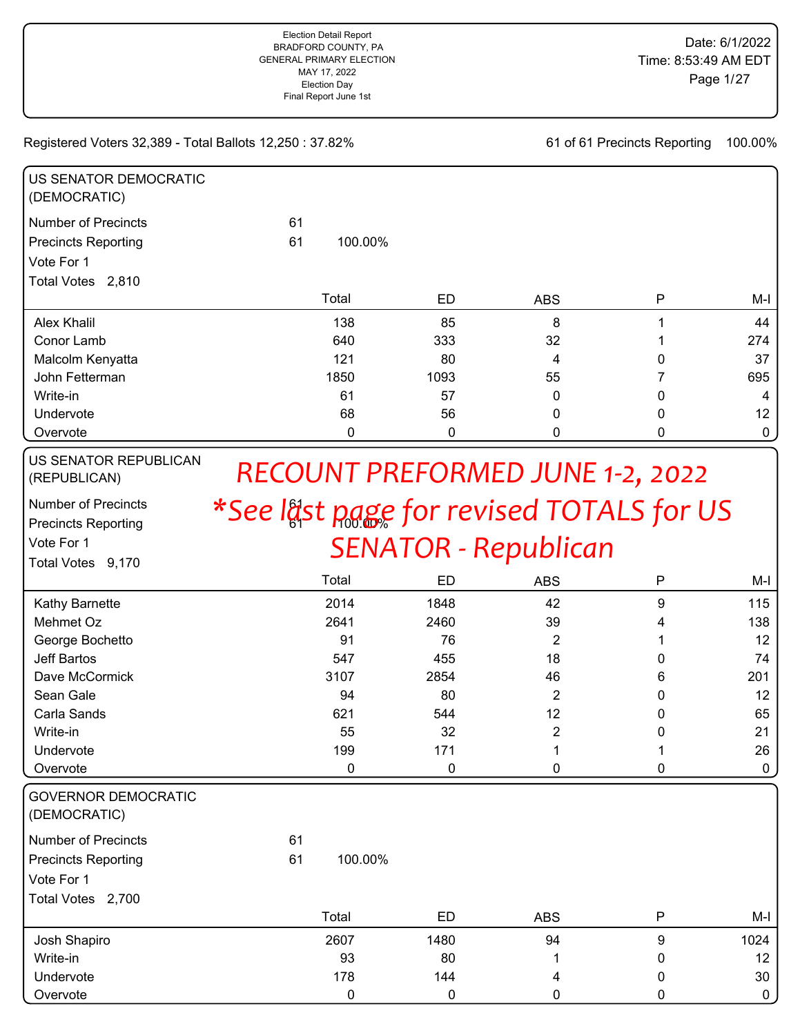61 of 61 Precincts Reporting 100.00%

| US SENATOR DEMOCRATIC<br>(DEMOCRATIC) |               |      |            |          |             |
|---------------------------------------|---------------|------|------------|----------|-------------|
| <b>Number of Precincts</b>            | 61            |      |            |          |             |
| <b>Precincts Reporting</b>            | 61<br>100.00% |      |            |          |             |
| Vote For 1                            |               |      |            |          |             |
| Total Votes 2,810                     |               |      |            |          |             |
|                                       | Total         | ED   | <b>ABS</b> | P        | $M-I$       |
| Alex Khalil                           | 138           | 85   | 8          |          | 44          |
| Conor Lamb                            | 640           | 333  | 32         |          | 274         |
| Malcolm Kenyatta                      | 121           | 80   | 4          | 0        | 37          |
| John Fetterman                        | 1850          | 1093 | 55         |          | 695         |
| Write-in                              | 61            | 57   | 0          | 0        | 4           |
| Undervote                             | 68            | 56   | $\Omega$   | $\Omega$ | 12          |
| Overvote                              | 0             | 0    | 0          | 0        | $\mathbf 0$ |

US SENATOR REPUBLICAN (REPUBLICAN)

Number of Precincts  $\mathbf{\hat{x}}\mathbf{C}_{\mathbf{Q}\mathbf{Q}}$  | 64 Precincts Reporting

Total Votes 9,170

Vote For 1

# 100.00% *\*See last page for revised TOTALS for US RECOUNT PREFORMED JUNE 1-2, 2022 SENATOR - Republican*

|                 | Total | ED   | <b>ABS</b> | P | M-l             |
|-----------------|-------|------|------------|---|-----------------|
| Kathy Barnette  | 2014  | 1848 | 42         | 9 | 115             |
| Mehmet Oz       | 2641  | 2460 | 39         |   | 138             |
| George Bochetto | 91    | 76   | 2          |   | 12 <sup>2</sup> |
| Jeff Bartos     | 547   | 455  | 18         | 0 | 74              |
| Dave McCormick  | 3107  | 2854 | 46         | 6 | 201             |
| Sean Gale       | 94    | 80   | 2          | 0 | 12              |
| Carla Sands     | 621   | 544  | 12         | 0 | 65              |
| Write-in        | 55    | 32   | 2          |   | 21              |
| Undervote       | 199   | 171  |            |   | 26              |
| Overvote        | 0     |      |            |   | $\mathbf 0$     |

| <b>GOVERNOR DEMOCRATIC</b> |
|----------------------------|
|                            |

(DEMOCRATIC)

Number of Precincts 61 Precincts Reporting 61

Vote For 1

| <b>Total Votes</b><br>2,700 |       |      |            |                 |
|-----------------------------|-------|------|------------|-----------------|
|                             | Total | ED   | <b>ABS</b> | $M-I$           |
| Josh Shapiro                | 2607  | 1480 | 94         | 1024            |
| Write-in                    | 93    | 80   |            | 12 <sup>°</sup> |
| Undervote                   | 178   | 144  | 4          | 30 <sup>1</sup> |
| Overvote                    |       |      |            | 0               |

100.00%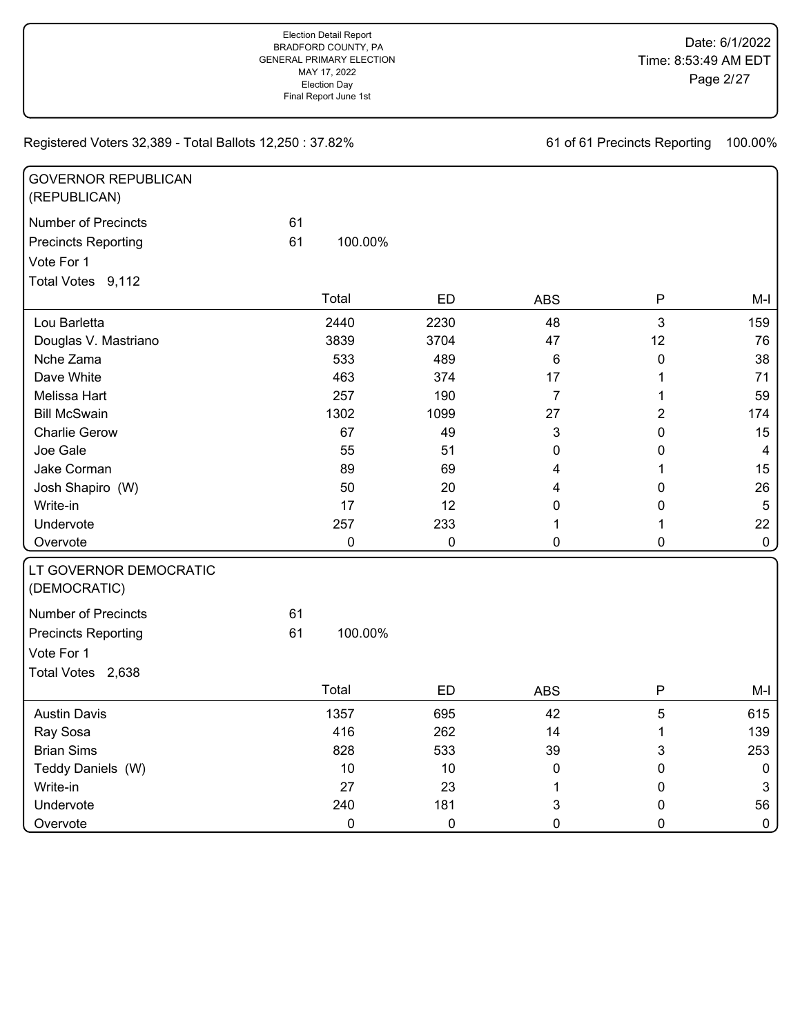| <b>GOVERNOR REPUBLICAN</b><br>(REPUBLICAN) |    |             |           |                |                |                |
|--------------------------------------------|----|-------------|-----------|----------------|----------------|----------------|
| <b>Number of Precincts</b>                 | 61 |             |           |                |                |                |
| <b>Precincts Reporting</b>                 | 61 | 100.00%     |           |                |                |                |
| Vote For 1                                 |    |             |           |                |                |                |
| Total Votes 9,112                          |    |             |           |                |                |                |
|                                            |    | Total       | ED        | <b>ABS</b>     | P              | $M-I$          |
| Lou Barletta                               |    | 2440        | 2230      | 48             | $\mathbf{3}$   | 159            |
| Douglas V. Mastriano                       |    | 3839        | 3704      | 47             | 12             | 76             |
| Nche Zama                                  |    | 533         | 489       | 6              | $\mathbf 0$    | 38             |
| Dave White                                 |    | 463         | 374       | 17             | 1              | 71             |
| Melissa Hart                               |    | 257         | 190       | $\overline{7}$ | $\mathbf{1}$   | 59             |
| <b>Bill McSwain</b>                        |    | 1302        | 1099      | 27             | $\overline{2}$ | 174            |
| <b>Charlie Gerow</b>                       |    | 67          | 49        | 3              | $\pmb{0}$      | 15             |
| Joe Gale                                   |    | 55          | 51        | 0              | 0              | $\overline{4}$ |
| Jake Corman                                |    | 89          | 69        | 4              | 1              | 15             |
| Josh Shapiro (W)                           |    | 50          | 20        | 4              | 0              | 26             |
| Write-in                                   |    | 17          | 12        | 0              | 0              | $\sqrt{5}$     |
| Undervote                                  |    | 257         | 233       | 1              | 1              | 22             |
| Overvote                                   |    | 0           | $\pmb{0}$ | 0              | $\mathbf 0$    | $\mathbf 0$    |
| LT GOVERNOR DEMOCRATIC<br>(DEMOCRATIC)     |    |             |           |                |                |                |
| <b>Number of Precincts</b>                 | 61 |             |           |                |                |                |
| <b>Precincts Reporting</b>                 | 61 | 100.00%     |           |                |                |                |
| Vote For 1                                 |    |             |           |                |                |                |
| Total Votes 2,638                          |    |             |           |                |                |                |
|                                            |    | Total       | ED        | <b>ABS</b>     | P              | $M-I$          |
| <b>Austin Davis</b>                        |    | 1357        | 695       | 42             | 5              | 615            |
| Ray Sosa                                   |    | 416         | 262       | 14             | 1              | 139            |
| <b>Brian Sims</b>                          |    | 828         | 533       | 39             | 3              | 253            |
| Teddy Daniels (W)                          |    | 10          | 10        | 0              | 0              | $\pmb{0}$      |
| Write-in                                   |    | 27          | 23        | 1              | $\pmb{0}$      | $\mathbf{3}$   |
| Undervote                                  |    | 240         | 181       | 3              | 0              | 56             |
| Overvote                                   |    | $\mathbf 0$ | 0         | $\mathbf 0$    | $\mathbf 0$    | $\pmb{0}$      |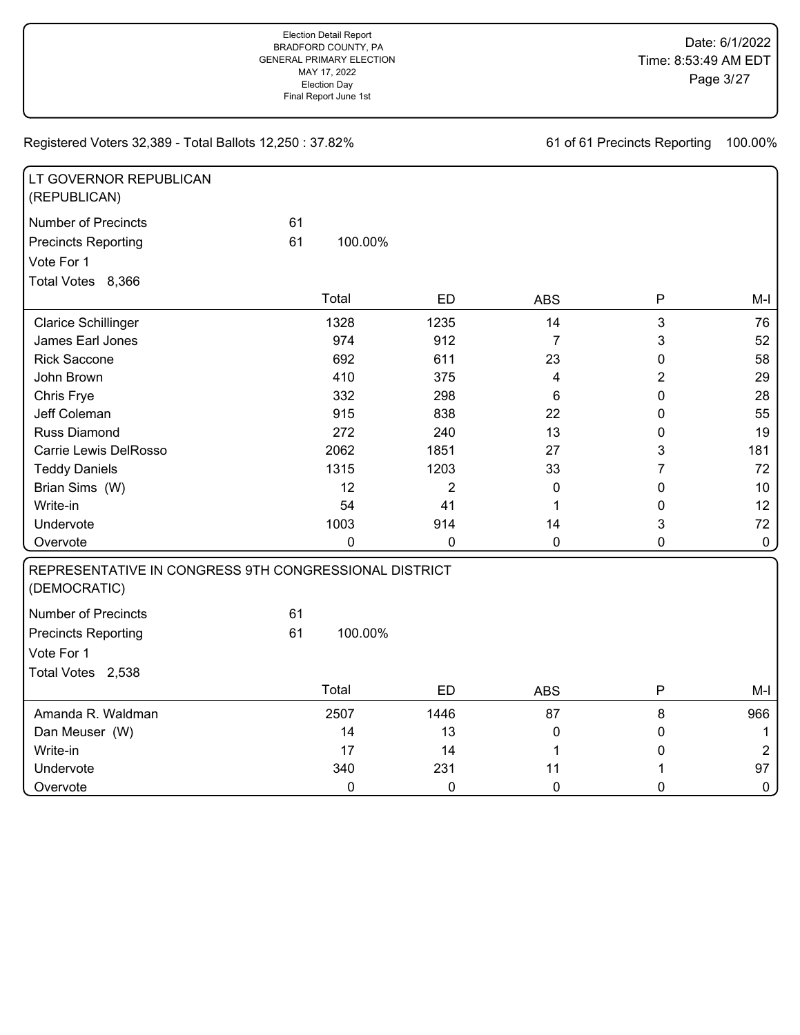| LT GOVERNOR REPUBLICAN<br>(REPUBLICAN)                                |    |             |                |                |                |             |
|-----------------------------------------------------------------------|----|-------------|----------------|----------------|----------------|-------------|
| <b>Number of Precincts</b>                                            | 61 |             |                |                |                |             |
| <b>Precincts Reporting</b>                                            | 61 | 100.00%     |                |                |                |             |
| Vote For 1                                                            |    |             |                |                |                |             |
| Total Votes 8,366                                                     |    |             |                |                |                |             |
|                                                                       |    | Total       | <b>ED</b>      | <b>ABS</b>     | ${\sf P}$      | $M-I$       |
| <b>Clarice Schillinger</b>                                            |    | 1328        | 1235           | 14             | 3              | 76          |
| James Earl Jones                                                      |    | 974         | 912            | $\overline{7}$ | 3              | 52          |
| <b>Rick Saccone</b>                                                   |    | 692         | 611            | 23             | 0              | 58          |
| John Brown                                                            |    | 410         | 375            | 4              | $\overline{c}$ | 29          |
| Chris Frye                                                            |    | 332         | 298            | 6              | 0              | 28          |
| Jeff Coleman                                                          |    | 915         | 838            | 22             | 0              | 55          |
| Russ Diamond                                                          |    | 272         | 240            | 13             | 0              | 19          |
| Carrie Lewis DelRosso                                                 |    | 2062        | 1851           | 27             | 3              | 181         |
| <b>Teddy Daniels</b>                                                  |    | 1315        | 1203           | 33             | 7              | 72          |
| Brian Sims (W)                                                        |    | 12          | $\overline{c}$ | 0              | 0              | 10          |
| Write-in                                                              |    | 54          | 41             | 1              | 0              | 12          |
| Undervote                                                             |    | 1003        | 914            | 14             | 3              | 72          |
| Overvote                                                              |    | $\mathbf 0$ | 0              | 0              | 0              | $\pmb{0}$   |
| REPRESENTATIVE IN CONGRESS 9TH CONGRESSIONAL DISTRICT<br>(DEMOCRATIC) |    |             |                |                |                |             |
| <b>Number of Precincts</b>                                            | 61 |             |                |                |                |             |
| <b>Precincts Reporting</b>                                            | 61 | 100.00%     |                |                |                |             |
| Vote For 1                                                            |    |             |                |                |                |             |
| Total Votes 2,538                                                     |    |             |                |                |                |             |
|                                                                       |    | Total       | <b>ED</b>      | <b>ABS</b>     | $\mathsf{P}$   | $M-I$       |
| Amanda R. Waldman                                                     |    | 2507        | 1446           | 87             | 8              | 966         |
| Dan Meuser (W)                                                        |    | 14          | 13             | $\mathbf 0$    | 0              | $\mathbf 1$ |
| Write-in                                                              |    | 17          | 14             | 1              | 0              | $\sqrt{2}$  |
| Undervote                                                             |    | 340         | 231            | 11             | 1              | 97          |
| Overvote                                                              |    | 0           | 0              | $\mathbf 0$    | 0              | $\mathbf 0$ |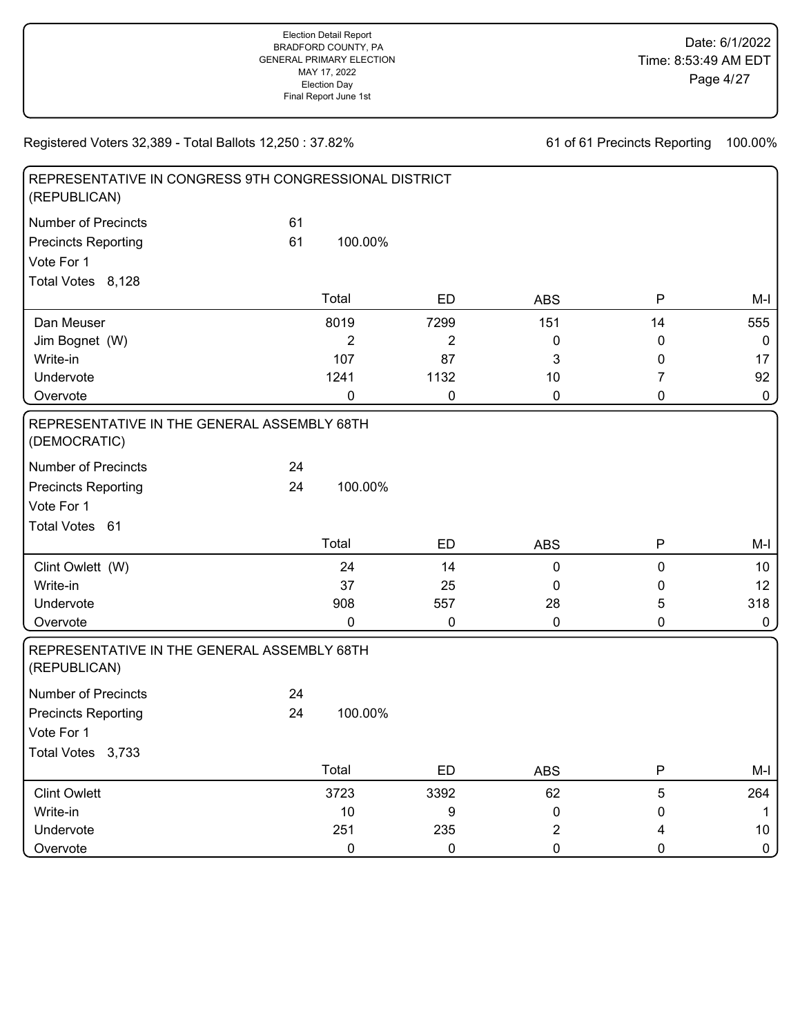| REPRESENTATIVE IN CONGRESS 9TH CONGRESSIONAL DISTRICT<br>(REPUBLICAN) |    |                |                |                |              |             |
|-----------------------------------------------------------------------|----|----------------|----------------|----------------|--------------|-------------|
| <b>Number of Precincts</b>                                            | 61 |                |                |                |              |             |
| <b>Precincts Reporting</b>                                            | 61 | 100.00%        |                |                |              |             |
| Vote For 1                                                            |    |                |                |                |              |             |
| Total Votes 8,128                                                     |    |                |                |                |              |             |
|                                                                       |    | Total          | <b>ED</b>      | <b>ABS</b>     | $\mathsf{P}$ | M-I         |
| Dan Meuser                                                            |    | 8019           | 7299           | 151            | 14           | 555         |
| Jim Bognet (W)                                                        |    | $\overline{2}$ | $\overline{c}$ | 0              | 0            | $\mathbf 0$ |
| Write-in                                                              |    | 107            | 87             | 3              | 0            | 17          |
| Undervote                                                             |    | 1241           | 1132           | 10             | 7            | 92          |
| Overvote                                                              |    | 0              | 0              | 0              | 0            | $\pmb{0}$   |
| REPRESENTATIVE IN THE GENERAL ASSEMBLY 68TH<br>(DEMOCRATIC)           |    |                |                |                |              |             |
| <b>Number of Precincts</b>                                            | 24 |                |                |                |              |             |
| <b>Precincts Reporting</b>                                            | 24 | 100.00%        |                |                |              |             |
| Vote For 1                                                            |    |                |                |                |              |             |
| Total Votes 61                                                        |    |                |                |                |              |             |
|                                                                       |    | Total          | <b>ED</b>      | <b>ABS</b>     | $\mathsf{P}$ | $M-I$       |
| Clint Owlett (W)                                                      |    | 24             | 14             | 0              | 0            | 10          |
| Write-in                                                              |    | 37             | 25             | 0              | 0            | 12          |
| Undervote                                                             |    | 908            | 557            | 28             | 5            | 318         |
| Overvote                                                              |    | 0              | 0              | 0              | 0            | $\mathbf 0$ |
| REPRESENTATIVE IN THE GENERAL ASSEMBLY 68TH<br>(REPUBLICAN)           |    |                |                |                |              |             |
| <b>Number of Precincts</b>                                            | 24 |                |                |                |              |             |
| <b>Precincts Reporting</b>                                            | 24 | 100.00%        |                |                |              |             |
| Vote For 1                                                            |    |                |                |                |              |             |
| Total Votes 3,733                                                     |    |                |                |                |              |             |
|                                                                       |    | Total          | ED             | <b>ABS</b>     | $\mathsf{P}$ | M-I         |
| <b>Clint Owlett</b>                                                   |    | 3723           | 3392           | 62             | 5            | 264         |
| Write-in                                                              |    | $10$           | 9              | 0              | 0            | 1           |
| Undervote                                                             |    | 251            | 235            | $\overline{c}$ | 4            | $10$        |
| Overvote                                                              |    | 0              | $\pmb{0}$      | $\pmb{0}$      | 0            | $\pmb{0}$   |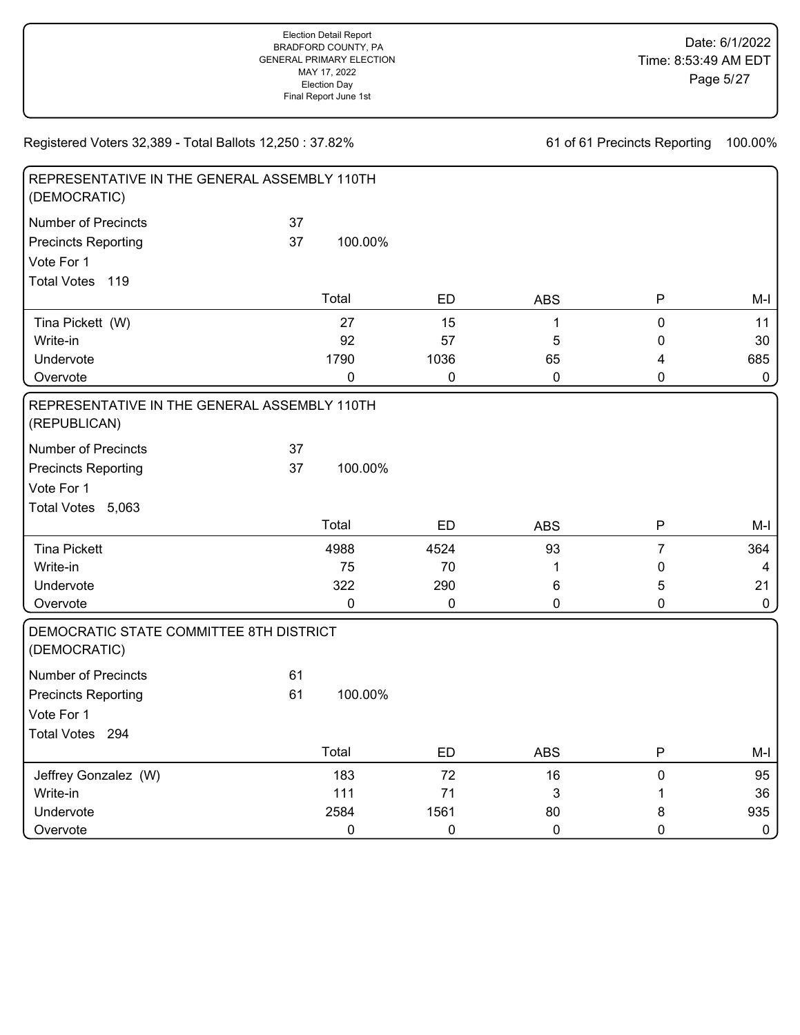| REPRESENTATIVE IN THE GENERAL ASSEMBLY 110TH<br>(DEMOCRATIC)           |          |             |           |             |                |             |
|------------------------------------------------------------------------|----------|-------------|-----------|-------------|----------------|-------------|
| <b>Number of Precincts</b><br><b>Precincts Reporting</b><br>Vote For 1 | 37<br>37 | 100.00%     |           |             |                |             |
| <b>Total Votes</b><br>119                                              |          |             |           |             |                |             |
|                                                                        |          | Total       | <b>ED</b> | <b>ABS</b>  | P              | $M-I$       |
|                                                                        |          |             |           |             |                |             |
| Tina Pickett (W)                                                       |          | 27          | 15        | 1           | $\mathbf 0$    | 11          |
| Write-in                                                               |          | 92          | 57        | 5           | 0              | 30          |
| Undervote                                                              |          | 1790        | 1036      | 65          | 4              | 685         |
| Overvote                                                               |          | 0           | $\pmb{0}$ | $\mathbf 0$ | $\mathbf 0$    | $\mathbf 0$ |
| REPRESENTATIVE IN THE GENERAL ASSEMBLY 110TH<br>(REPUBLICAN)           |          |             |           |             |                |             |
| <b>Number of Precincts</b>                                             | 37       |             |           |             |                |             |
| <b>Precincts Reporting</b>                                             | 37       | 100.00%     |           |             |                |             |
| Vote For 1                                                             |          |             |           |             |                |             |
| Total Votes 5,063                                                      |          |             |           |             |                |             |
|                                                                        |          | Total       | ED        | <b>ABS</b>  | P              | $M-I$       |
| <b>Tina Pickett</b>                                                    |          | 4988        | 4524      | 93          | $\overline{7}$ | 364         |
| Write-in                                                               |          | 75          | 70        | 1           | $\mathbf 0$    | 4           |
| Undervote                                                              |          | 322         | 290       | 6           | 5              | 21          |
| Overvote                                                               |          | 0           | 0         | 0           | $\mathbf 0$    | $\mathbf 0$ |
| DEMOCRATIC STATE COMMITTEE 8TH DISTRICT<br>(DEMOCRATIC)                |          |             |           |             |                |             |
| <b>Number of Precincts</b>                                             | 61       |             |           |             |                |             |
| <b>Precincts Reporting</b>                                             | 61       | 100.00%     |           |             |                |             |
| Vote For 1                                                             |          |             |           |             |                |             |
| Total Votes 294                                                        |          |             |           |             |                |             |
|                                                                        |          | Total       | <b>ED</b> | <b>ABS</b>  | P              | $M-I$       |
| Jeffrey Gonzalez (W)                                                   |          | 183         | 72        | 16          | $\pmb{0}$      | 95          |
| Write-in                                                               |          | 111         | 71        | 3           | 1              | 36          |
| Undervote                                                              |          | 2584        | 1561      | 80          | 8              | 935         |
| Overvote                                                               |          | $\mathbf 0$ | 0         | $\mathbf 0$ | $\mathbf 0$    | $\pmb{0}$   |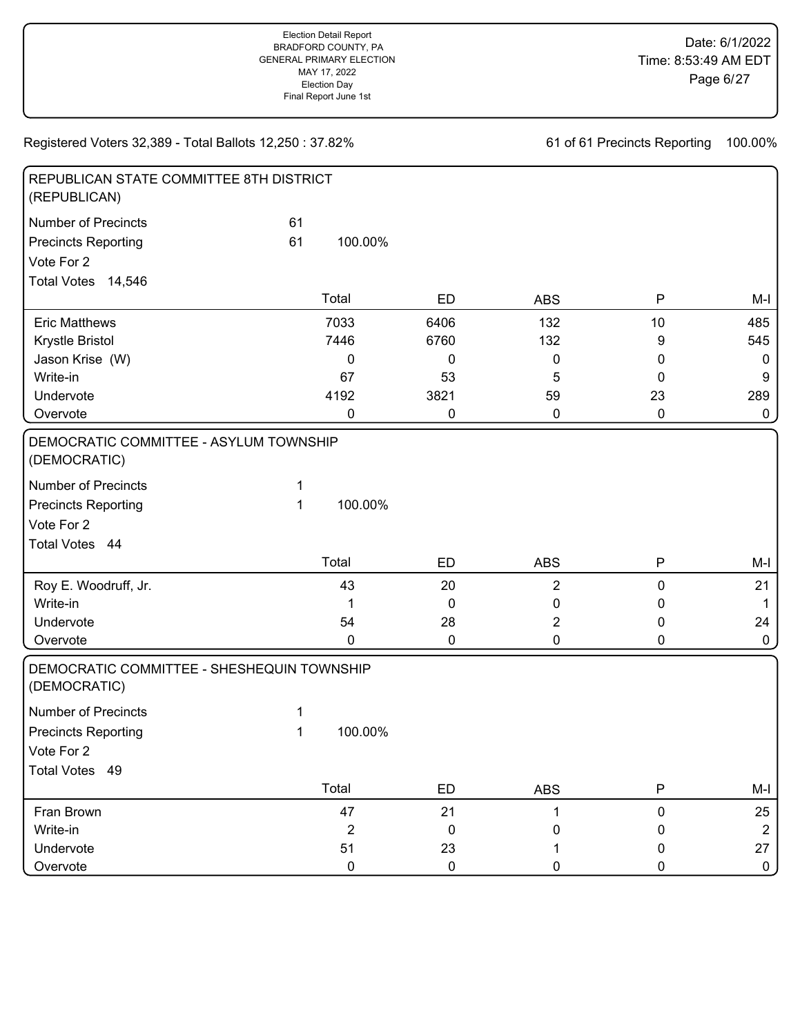| REPUBLICAN STATE COMMITTEE 8TH DISTRICT<br>(REPUBLICAN)    |    |                         |             |                |             |                |
|------------------------------------------------------------|----|-------------------------|-------------|----------------|-------------|----------------|
| <b>Number of Precincts</b>                                 | 61 |                         |             |                |             |                |
| <b>Precincts Reporting</b>                                 | 61 | 100.00%                 |             |                |             |                |
| Vote For 2                                                 |    |                         |             |                |             |                |
| Total Votes 14,546                                         |    |                         |             |                |             |                |
|                                                            |    | Total                   | <b>ED</b>   | <b>ABS</b>     | P           | $M-I$          |
| <b>Eric Matthews</b>                                       |    | 7033                    | 6406        | 132            | 10          | 485            |
| Krystle Bristol                                            |    | 7446                    | 6760        | 132            | 9           | 545            |
| Jason Krise (W)                                            |    | 0                       | $\mathbf 0$ | 0              | 0           | $\mathbf 0$    |
| Write-in                                                   |    | 67                      | 53          | 5              | 0           | 9              |
| Undervote                                                  |    | 4192                    | 3821        | 59             | 23          | 289            |
| Overvote                                                   |    | 0                       | 0           | $\pmb{0}$      | $\pmb{0}$   | $\pmb{0}$      |
| DEMOCRATIC COMMITTEE - ASYLUM TOWNSHIP<br>(DEMOCRATIC)     |    |                         |             |                |             |                |
| <b>Number of Precincts</b>                                 | 1  |                         |             |                |             |                |
| <b>Precincts Reporting</b>                                 | 1  | 100.00%                 |             |                |             |                |
| Vote For 2                                                 |    |                         |             |                |             |                |
| Total Votes 44                                             |    |                         |             |                |             |                |
|                                                            |    | Total                   | <b>ED</b>   | <b>ABS</b>     | P           | $M-I$          |
| Roy E. Woodruff, Jr.                                       |    | 43                      | 20          | $\overline{2}$ | 0           | 21             |
| Write-in                                                   |    | 1                       | 0           | 0              | 0           | $\mathbf 1$    |
| Undervote                                                  |    | 54                      | 28          | 2              | 0           | 24             |
| Overvote                                                   |    | 0                       | 0           | 0              | 0           | 0              |
| DEMOCRATIC COMMITTEE - SHESHEQUIN TOWNSHIP<br>(DEMOCRATIC) |    |                         |             |                |             |                |
| <b>Number of Precincts</b>                                 | 1  |                         |             |                |             |                |
| <b>Precincts Reporting</b>                                 | 1  | 100.00%                 |             |                |             |                |
| Vote For 2                                                 |    |                         |             |                |             |                |
| Total Votes 49                                             |    |                         |             |                |             |                |
|                                                            |    | Total                   | ED          | <b>ABS</b>     | P           | $M-I$          |
| Fran Brown                                                 |    | 47                      | 21          | 1              | $\pmb{0}$   | 25             |
| Write-in                                                   |    | $\overline{\mathbf{c}}$ | 0           | 0              | 0           | $\overline{2}$ |
| Undervote                                                  |    | 51                      | 23          | 1              | $\mathbf 0$ | 27             |
| Overvote                                                   |    | $\pmb{0}$               | $\pmb{0}$   | 0              | 0           | $\mathbf{0}$   |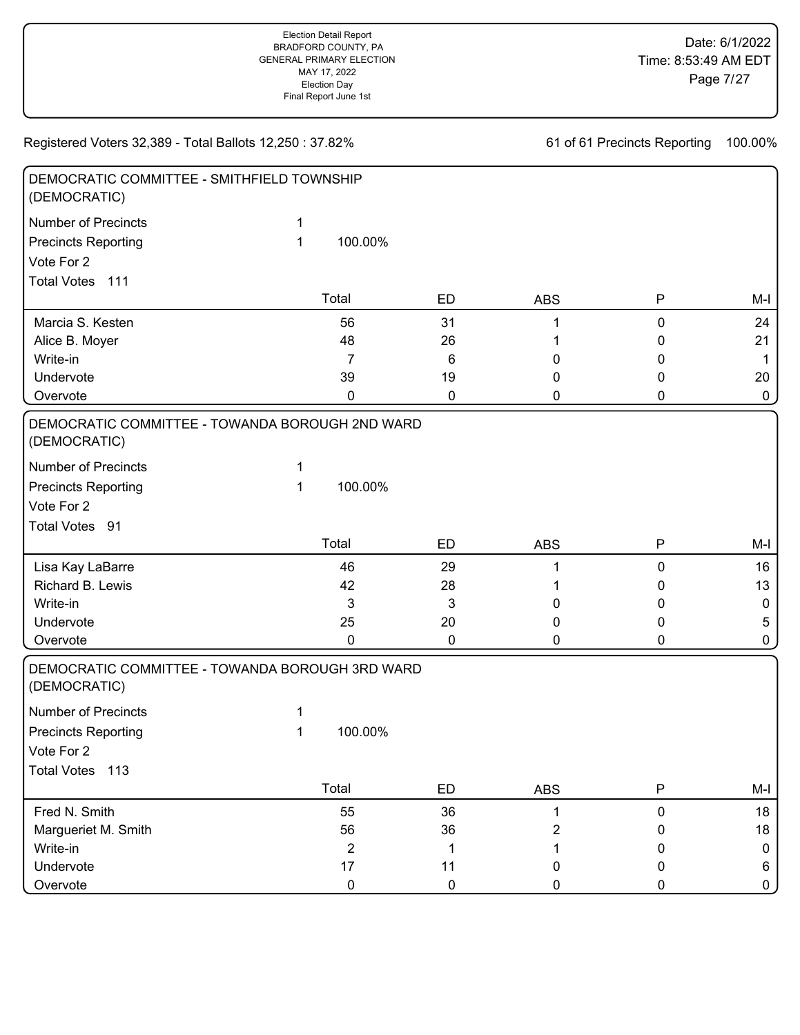| DEMOCRATIC COMMITTEE - SMITHFIELD TOWNSHIP<br>(DEMOCRATIC)      |             |                |             |            |           |                  |
|-----------------------------------------------------------------|-------------|----------------|-------------|------------|-----------|------------------|
| <b>Number of Precincts</b>                                      | 1           |                |             |            |           |                  |
| <b>Precincts Reporting</b>                                      | 1           | 100.00%        |             |            |           |                  |
| Vote For 2                                                      |             |                |             |            |           |                  |
| Total Votes 111                                                 |             |                |             |            |           |                  |
|                                                                 |             | Total          | <b>ED</b>   | <b>ABS</b> | P         | M-I              |
| Marcia S. Kesten                                                |             | 56             | 31          |            | 0         | 24               |
| Alice B. Moyer                                                  |             | 48             | 26          |            | 0         | 21               |
| Write-in                                                        |             | 7              | 6           | 0          | 0         | $\mathbf{1}$     |
| Undervote                                                       |             | 39             | 19          | 0          | 0         | 20               |
| Overvote                                                        |             | 0              | 0           | 0          | 0         | $\mathbf 0$      |
| DEMOCRATIC COMMITTEE - TOWANDA BOROUGH 2ND WARD<br>(DEMOCRATIC) |             |                |             |            |           |                  |
| <b>Number of Precincts</b>                                      | 1           |                |             |            |           |                  |
| <b>Precincts Reporting</b>                                      | 1           | 100.00%        |             |            |           |                  |
| Vote For 2                                                      |             |                |             |            |           |                  |
| Total Votes 91                                                  |             |                |             |            |           |                  |
|                                                                 |             | Total          | ED          | <b>ABS</b> | Ρ         | M-I              |
| Lisa Kay LaBarre                                                |             | 46             | 29          |            | 0         | 16               |
| Richard B. Lewis                                                |             | 42             | 28          |            | 0         | 13               |
| Write-in                                                        |             | 3              | 3           | 0          | 0         | $\mathbf 0$      |
| Undervote                                                       |             | 25             | 20          | 0          | 0         | 5                |
| Overvote                                                        |             | 0              | $\mathbf 0$ | 0          | 0         | $\mathbf 0$      |
| DEMOCRATIC COMMITTEE - TOWANDA BOROUGH 3RD WARD                 |             |                |             |            |           |                  |
| (DEMOCRATIC)                                                    |             |                |             |            |           |                  |
| <b>Number of Precincts</b>                                      | 1           |                |             |            |           |                  |
| <b>Precincts Reporting</b>                                      | $\mathbf 1$ | 100.00%        |             |            |           |                  |
|                                                                 |             |                |             |            |           |                  |
| Vote For 2<br>Total Votes 113                                   |             |                |             |            |           |                  |
|                                                                 |             | Total          | ED          | <b>ABS</b> | P         | $M-I$            |
| Fred N. Smith                                                   |             | 55             | 36          | 1          | $\pmb{0}$ | 18               |
| Margueriet M. Smith                                             |             | 56             | 36          | 2          | 0         | 18               |
| Write-in                                                        |             | $\overline{2}$ | 1           |            | 0         | $\boldsymbol{0}$ |
| Undervote                                                       |             | 17             | 11          | 0          | 0         | 6                |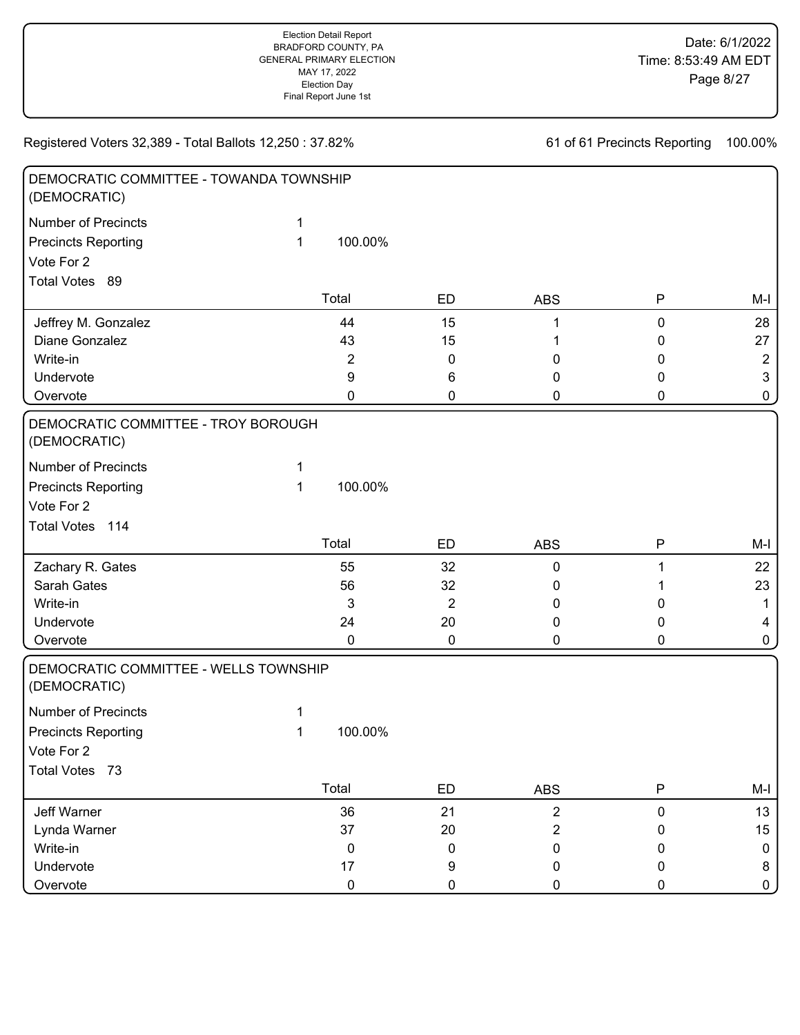| DEMOCRATIC COMMITTEE - TOWANDA TOWNSHIP<br>(DEMOCRATIC) |   |                |                |                |           |                |
|---------------------------------------------------------|---|----------------|----------------|----------------|-----------|----------------|
| <b>Number of Precincts</b>                              | 1 |                |                |                |           |                |
| <b>Precincts Reporting</b>                              | 1 | 100.00%        |                |                |           |                |
| Vote For 2                                              |   |                |                |                |           |                |
| Total Votes 89                                          |   |                |                |                |           |                |
|                                                         |   | Total          | <b>ED</b>      | <b>ABS</b>     | P         | M-I            |
| Jeffrey M. Gonzalez                                     |   | 44             | 15             | 1              | $\pmb{0}$ | 28             |
| Diane Gonzalez                                          |   | 43             | 15             |                | 0         | 27             |
| Write-in                                                |   | $\overline{2}$ | 0              | 0              | 0         | $\overline{2}$ |
| Undervote                                               |   | 9              | 6              | 0              | 0         | $\mathbf{3}$   |
| Overvote                                                |   | 0              | 0              | 0              | 0         | 0              |
| DEMOCRATIC COMMITTEE - TROY BOROUGH<br>(DEMOCRATIC)     |   |                |                |                |           |                |
| <b>Number of Precincts</b>                              | 1 |                |                |                |           |                |
| <b>Precincts Reporting</b>                              | 1 | 100.00%        |                |                |           |                |
| Vote For 2                                              |   |                |                |                |           |                |
| Total Votes 114                                         |   |                |                |                |           |                |
|                                                         |   | Total          | <b>ED</b>      | <b>ABS</b>     | P         | $M-I$          |
| Zachary R. Gates                                        |   | 55             | 32             | 0              | 1         | 22             |
| Sarah Gates                                             |   | 56             | 32             | 0              | 1         | 23             |
| Write-in                                                |   | 3              | $\overline{2}$ | 0              | 0         | $\mathbf 1$    |
| Undervote                                               |   | 24             | 20             | 0              | 0         | $\overline{4}$ |
| Overvote                                                |   | 0              | 0              | 0              | 0         | $\mathbf 0$    |
| DEMOCRATIC COMMITTEE - WELLS TOWNSHIP<br>(DEMOCRATIC)   |   |                |                |                |           |                |
| <b>Number of Precincts</b>                              |   |                |                |                |           |                |
|                                                         | 1 |                |                |                |           |                |
| <b>Precincts Reporting</b>                              | 1 | 100.00%        |                |                |           |                |
| Vote For 2                                              |   |                |                |                |           |                |
| Total Votes 73                                          |   |                |                |                |           |                |
|                                                         |   | Total          | ED             | <b>ABS</b>     | P         | M-I            |
| Jeff Warner                                             |   | 36             | 21             | $\overline{2}$ | $\pmb{0}$ | 13             |
| Lynda Warner                                            |   | 37             | 20             | $\overline{2}$ | 0         | 15             |
| Write-in                                                |   | $\pmb{0}$      | 0              | 0              | 0         | $\mathbf 0$    |
| Undervote                                               |   | 17             | 9              | 0              | 0         | 8              |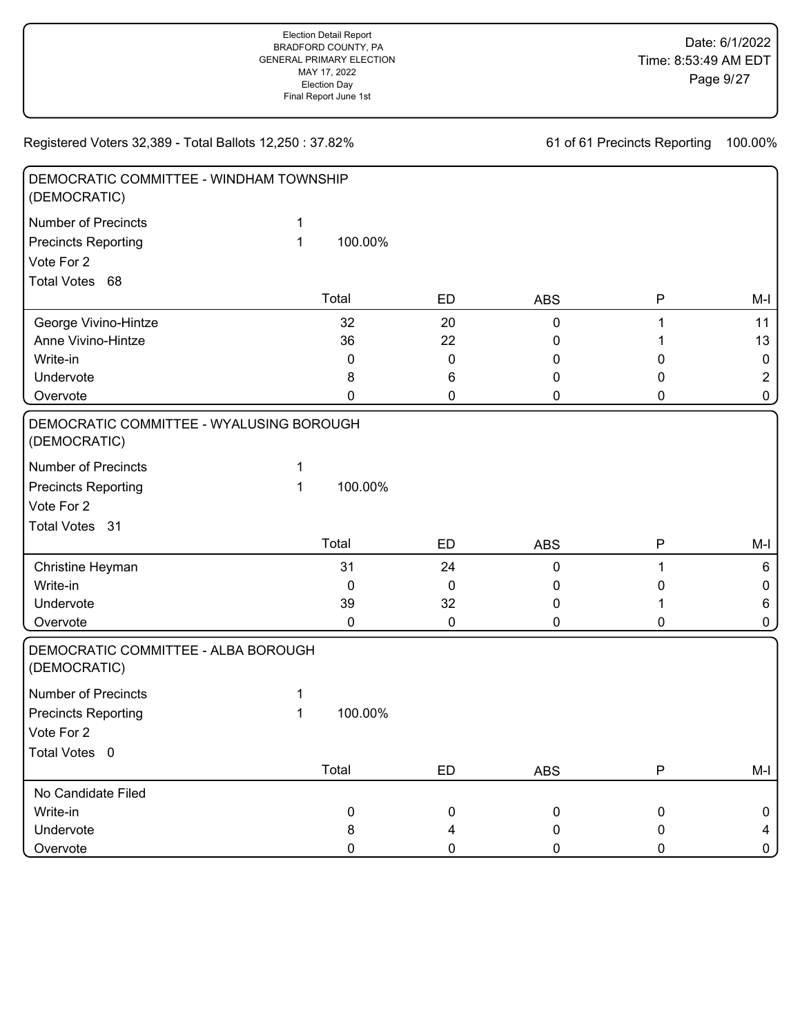| DEMOCRATIC COMMITTEE - WINDHAM TOWNSHIP<br>(DEMOCRATIC)  |   |         |             |            |              |                |
|----------------------------------------------------------|---|---------|-------------|------------|--------------|----------------|
| <b>Number of Precincts</b>                               | 1 |         |             |            |              |                |
| <b>Precincts Reporting</b>                               | 1 | 100.00% |             |            |              |                |
| Vote For 2                                               |   |         |             |            |              |                |
| Total Votes 68                                           |   |         |             |            |              |                |
|                                                          |   | Total   | <b>ED</b>   | <b>ABS</b> | P            | M-I            |
| George Vivino-Hintze                                     |   | 32      | 20          | 0          | 1            | 11             |
| Anne Vivino-Hintze                                       |   | 36      | 22          | 0          |              | 13             |
| Write-in                                                 |   | 0       | 0           | 0          | 0            | $\mathbf 0$    |
| Undervote                                                |   | 8       | 6           | 0          | 0            | $\overline{2}$ |
| Overvote                                                 |   | 0       | 0           | 0          | 0            | 0              |
| DEMOCRATIC COMMITTEE - WYALUSING BOROUGH<br>(DEMOCRATIC) |   |         |             |            |              |                |
| <b>Number of Precincts</b>                               | 1 |         |             |            |              |                |
| <b>Precincts Reporting</b>                               | 1 | 100.00% |             |            |              |                |
| Vote For 2                                               |   |         |             |            |              |                |
| Total Votes 31                                           |   |         |             |            |              |                |
|                                                          |   | Total   | <b>ED</b>   | <b>ABS</b> | $\mathsf{P}$ | M-I            |
| Christine Heyman                                         |   | 31      | 24          | 0          | 1            | 6              |
| Write-in                                                 |   | 0       | 0           | 0          | 0            | 0              |
| Undervote                                                |   | 39      | 32          | 0          |              | 6              |
| Overvote                                                 |   | 0       | $\mathsf 0$ | 0          | 0            | 0              |
| DEMOCRATIC COMMITTEE - ALBA BOROUGH<br>(DEMOCRATIC)      |   |         |             |            |              |                |
| <b>Number of Precincts</b>                               | 1 |         |             |            |              |                |
| <b>Precincts Reporting</b>                               | 1 | 100.00% |             |            |              |                |
| Vote For 2                                               |   |         |             |            |              |                |
| Total Votes 0                                            |   |         |             |            |              |                |
|                                                          |   | Total   | ED          | <b>ABS</b> | P            | M-I            |
| No Candidate Filed                                       |   |         |             |            |              |                |
| Write-in                                                 |   | 0       | 0           | 0          | $\pmb{0}$    | 0              |
| Undervote                                                |   | 8       | 4           | 0          | 0            | $\overline{4}$ |
| Overvote                                                 |   | 0       | 0           | 0          | 0            | $\mathbf{0}$   |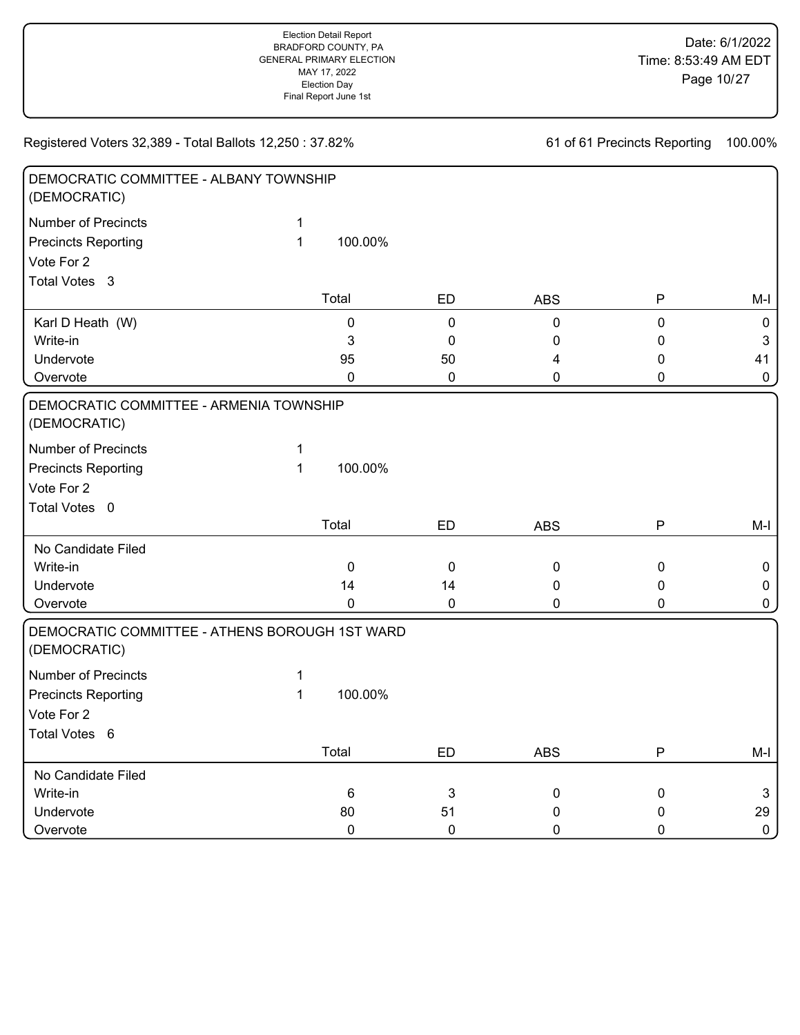| DEMOCRATIC COMMITTEE - ALBANY TOWNSHIP<br>(DEMOCRATIC)         |              |             |           |             |           |              |
|----------------------------------------------------------------|--------------|-------------|-----------|-------------|-----------|--------------|
| <b>Number of Precincts</b>                                     | $\mathbf 1$  |             |           |             |           |              |
| <b>Precincts Reporting</b>                                     | $\mathbf{1}$ | 100.00%     |           |             |           |              |
| Vote For 2                                                     |              |             |           |             |           |              |
| Total Votes 3                                                  |              |             |           |             |           |              |
|                                                                |              | Total       | ED        | <b>ABS</b>  | ${\sf P}$ | M-I          |
| Karl D Heath (W)                                               |              | 0           | 0         | $\mathbf 0$ | 0         | $\mathsf 0$  |
| Write-in                                                       |              | 3           | 0         | 0           | 0         | $\mathbf{3}$ |
| Undervote                                                      |              | 95          | 50        | 4           | 0         | 41           |
| Overvote                                                       |              | $\mathbf 0$ | $\pmb{0}$ | 0           | 0         | $\mathbf 0$  |
| DEMOCRATIC COMMITTEE - ARMENIA TOWNSHIP<br>(DEMOCRATIC)        |              |             |           |             |           |              |
| <b>Number of Precincts</b>                                     | 1            |             |           |             |           |              |
| <b>Precincts Reporting</b>                                     | $\mathbf{1}$ | 100.00%     |           |             |           |              |
| Vote For 2                                                     |              |             |           |             |           |              |
| Total Votes 0                                                  |              |             |           |             |           |              |
|                                                                |              | Total       | <b>ED</b> | <b>ABS</b>  | ${\sf P}$ | $M-I$        |
| No Candidate Filed                                             |              |             |           |             |           |              |
| Write-in                                                       |              | $\pmb{0}$   | $\pmb{0}$ | $\pmb{0}$   | $\pmb{0}$ | 0            |
| Undervote                                                      |              | 14          | 14        | 0           | 0         | 0            |
| Overvote                                                       |              | 0           | 0         | $\Omega$    | 0         | 0            |
| DEMOCRATIC COMMITTEE - ATHENS BOROUGH 1ST WARD<br>(DEMOCRATIC) |              |             |           |             |           |              |
| <b>Number of Precincts</b>                                     | 1            |             |           |             |           |              |
| <b>Precincts Reporting</b>                                     | $\mathbf{1}$ | 100.00%     |           |             |           |              |
| Vote For 2                                                     |              |             |           |             |           |              |
| Total Votes 6                                                  |              |             |           |             |           |              |
|                                                                |              | Total       | <b>ED</b> | <b>ABS</b>  | Ρ         | $M-I$        |
| No Candidate Filed                                             |              |             |           |             |           |              |
| Write-in                                                       |              | $\,6\,$     | 3         | $\pmb{0}$   | 0         | 3            |
| Undervote                                                      |              | 80          | 51        | 0           | 0         | 29           |
| Overvote                                                       |              | 0           | 0         | $\mathbf 0$ | 0         | $\mathbf 0$  |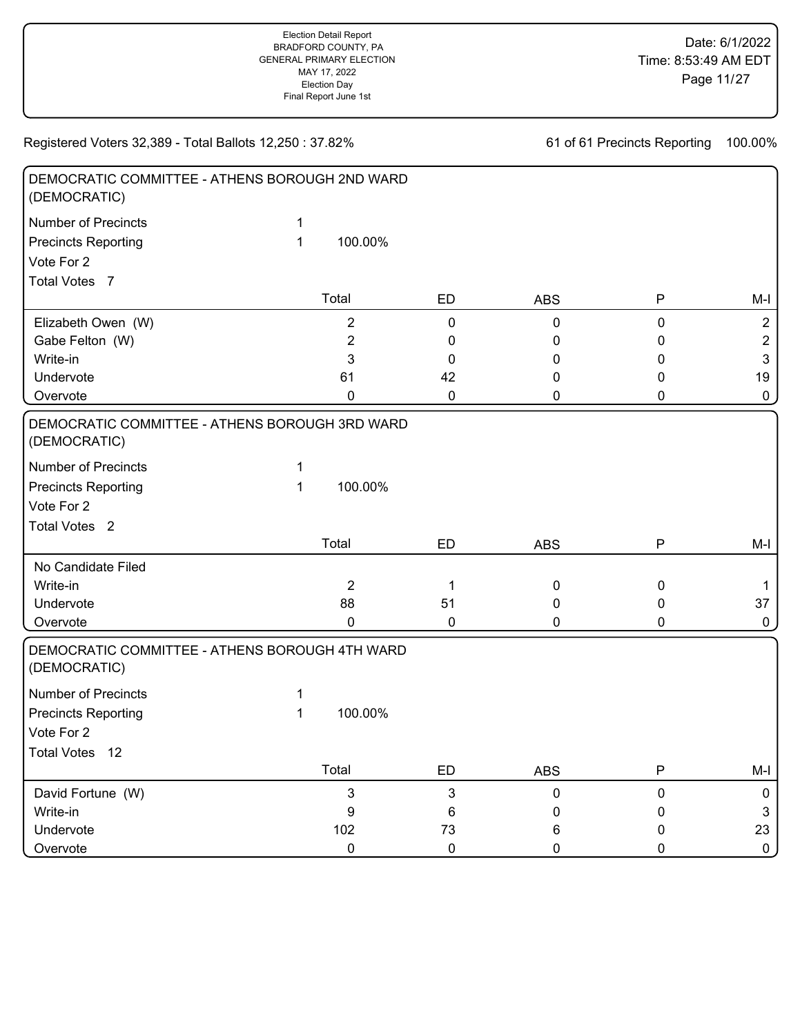| DEMOCRATIC COMMITTEE - ATHENS BOROUGH 2ND WARD<br>(DEMOCRATIC) |   |                |             |            |              |                |
|----------------------------------------------------------------|---|----------------|-------------|------------|--------------|----------------|
| <b>Number of Precincts</b>                                     | 1 |                |             |            |              |                |
| <b>Precincts Reporting</b>                                     | 1 | 100.00%        |             |            |              |                |
| Vote For 2                                                     |   |                |             |            |              |                |
| Total Votes 7                                                  |   |                |             |            |              |                |
|                                                                |   | Total          | <b>ED</b>   | <b>ABS</b> | ${\sf P}$    | $M-I$          |
| Elizabeth Owen (W)                                             |   | $\overline{2}$ | 0           | 0          | $\pmb{0}$    | $\overline{2}$ |
| Gabe Felton (W)                                                |   | $\overline{2}$ | 0           | 0          | 0            | $\overline{2}$ |
| Write-in                                                       |   | 3              | 0           | 0          | 0            | $\mathbf{3}$   |
| Undervote                                                      |   | 61             | 42          | 0          | 0            | 19             |
| Overvote                                                       |   | 0              | 0           | 0          | 0            | $\pmb{0}$      |
| DEMOCRATIC COMMITTEE - ATHENS BOROUGH 3RD WARD<br>(DEMOCRATIC) |   |                |             |            |              |                |
| <b>Number of Precincts</b>                                     | 1 |                |             |            |              |                |
| <b>Precincts Reporting</b>                                     | 1 | 100.00%        |             |            |              |                |
| Vote For 2                                                     |   |                |             |            |              |                |
| Total Votes <sub>2</sub>                                       |   |                |             |            |              |                |
|                                                                |   | Total          | ED          | <b>ABS</b> | $\mathsf{P}$ | $M-I$          |
| No Candidate Filed                                             |   |                |             |            |              |                |
| Write-in                                                       |   | $\overline{2}$ | $\mathbf 1$ | 0          | $\pmb{0}$    | $\mathbf{1}$   |
| Undervote                                                      |   | 88             | 51          | 0          | 0            | 37             |
| Overvote                                                       |   | 0              | 0           | 0          | 0            | $\pmb{0}$      |
| DEMOCRATIC COMMITTEE - ATHENS BOROUGH 4TH WARD<br>(DEMOCRATIC) |   |                |             |            |              |                |
| <b>Number of Precincts</b>                                     | 1 |                |             |            |              |                |
| <b>Precincts Reporting</b>                                     | 1 | 100.00%        |             |            |              |                |
| Vote For 2                                                     |   |                |             |            |              |                |
| Total Votes 12                                                 |   |                |             |            |              |                |
|                                                                |   | Total          | ED          | <b>ABS</b> | P            | $M-I$          |
| David Fortune (W)                                              |   | 3              | 3           | 0          | 0            | 0              |
| Write-in                                                       |   | 9              | 6           | 0          | 0            | $\sqrt{3}$     |
| Undervote                                                      |   | 102            | 73          | 6          | 0            | 23             |
| Overvote                                                       |   | $\pmb{0}$      | $\pmb{0}$   | 0          | 0            | $\mathbf{0}$   |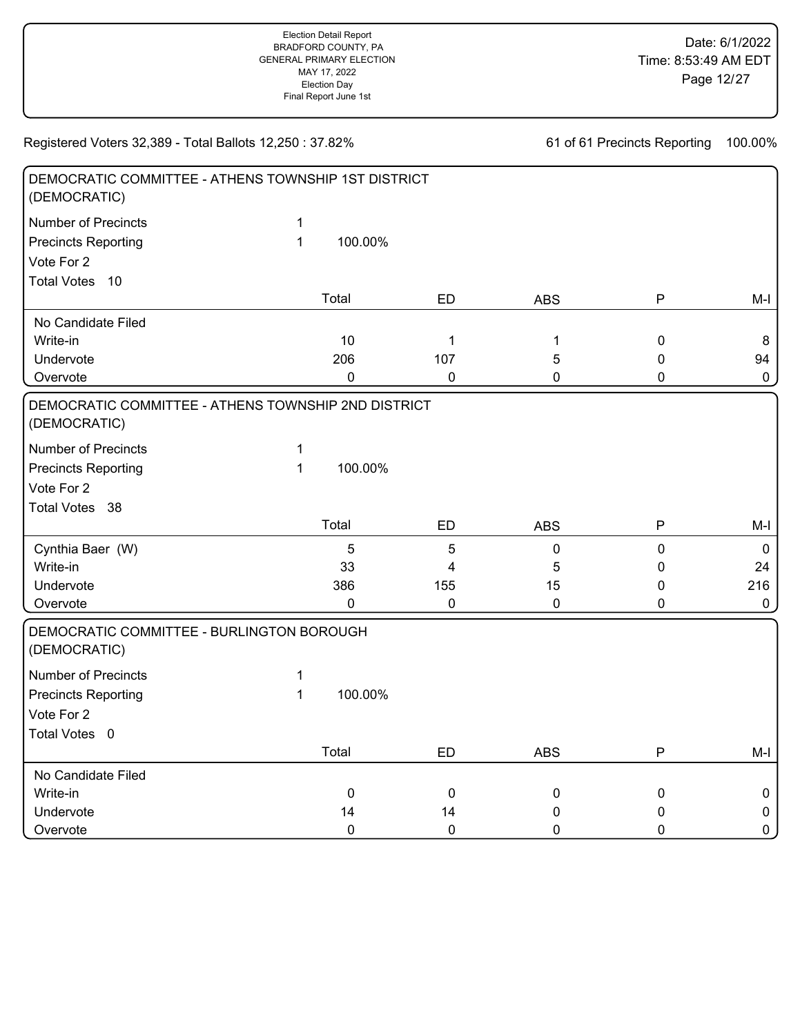| DEMOCRATIC COMMITTEE - ATHENS TOWNSHIP 1ST DISTRICT<br>(DEMOCRATIC) |              |             |                |            |              |             |
|---------------------------------------------------------------------|--------------|-------------|----------------|------------|--------------|-------------|
| <b>Number of Precincts</b>                                          | 1            |             |                |            |              |             |
| <b>Precincts Reporting</b>                                          | $\mathbf{1}$ | 100.00%     |                |            |              |             |
| Vote For 2                                                          |              |             |                |            |              |             |
| <b>Total Votes</b><br>10                                            |              |             |                |            |              |             |
|                                                                     |              | Total       | <b>ED</b>      | <b>ABS</b> | ${\sf P}$    | $M-I$       |
| No Candidate Filed                                                  |              |             |                |            |              |             |
| Write-in                                                            |              | 10          | 1              | 1          | 0            | 8           |
| Undervote                                                           |              | 206         | 107            | 5          | 0            | 94          |
| Overvote                                                            |              | $\mathbf 0$ | $\pmb{0}$      | 0          | 0            | $\pmb{0}$   |
| DEMOCRATIC COMMITTEE - ATHENS TOWNSHIP 2ND DISTRICT<br>(DEMOCRATIC) |              |             |                |            |              |             |
| <b>Number of Precincts</b>                                          | 1            |             |                |            |              |             |
| <b>Precincts Reporting</b>                                          | $\mathbf{1}$ | 100.00%     |                |            |              |             |
| Vote For 2                                                          |              |             |                |            |              |             |
| Total Votes 38                                                      |              |             |                |            |              |             |
|                                                                     |              | Total       | <b>ED</b>      | <b>ABS</b> | $\mathsf{P}$ | M-I         |
| Cynthia Baer (W)                                                    |              | 5           | $\overline{5}$ | 0          | 0            | $\mathbf 0$ |
| Write-in                                                            |              | 33          | 4              | 5          | 0            | 24          |
| Undervote                                                           |              | 386         | 155            | 15         | 0            | 216         |
| Overvote                                                            |              | 0           | $\mathbf 0$    | 0          | 0            | $\pmb{0}$   |
| DEMOCRATIC COMMITTEE - BURLINGTON BOROUGH<br>(DEMOCRATIC)           |              |             |                |            |              |             |
| <b>Number of Precincts</b>                                          | 1            |             |                |            |              |             |
| <b>Precincts Reporting</b>                                          | $\mathbf{1}$ | 100.00%     |                |            |              |             |
| Vote For 2                                                          |              |             |                |            |              |             |
| Total Votes 0                                                       |              |             |                |            |              |             |
|                                                                     |              | Total       | <b>ED</b>      | <b>ABS</b> | ${\sf P}$    | $M-I$       |
| No Candidate Filed                                                  |              |             |                |            |              |             |
| Write-in                                                            |              | $\pmb{0}$   | $\pmb{0}$      | $\pmb{0}$  | 0            | $\pmb{0}$   |
| Undervote                                                           |              | 14          | 14             | 0          | 0            | $\pmb{0}$   |
| Overvote                                                            |              | $\mathbf 0$ | $\mathbf 0$    | 0          | 0            | $\pmb{0}$   |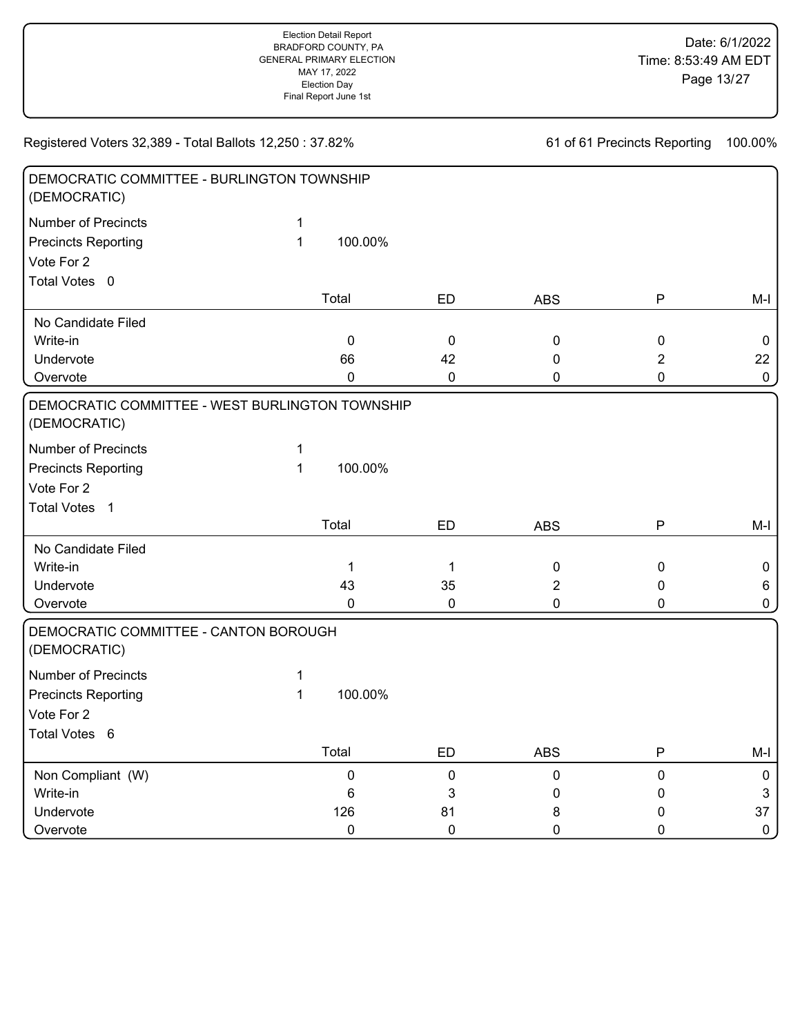| DEMOCRATIC COMMITTEE - BURLINGTON TOWNSHIP<br>(DEMOCRATIC)      |              |             |             |             |                |                |
|-----------------------------------------------------------------|--------------|-------------|-------------|-------------|----------------|----------------|
| <b>Number of Precincts</b>                                      | $\mathbf{1}$ |             |             |             |                |                |
| <b>Precincts Reporting</b>                                      | $\mathbf{1}$ | 100.00%     |             |             |                |                |
| Vote For 2                                                      |              |             |             |             |                |                |
| Total Votes 0                                                   |              |             |             |             |                |                |
|                                                                 |              | Total       | ED          | <b>ABS</b>  | P              | $M-I$          |
| No Candidate Filed                                              |              |             |             |             |                |                |
| Write-in                                                        |              | $\mathbf 0$ | $\mathbf 0$ | $\mathbf 0$ | $\pmb{0}$      | 0              |
| Undervote                                                       |              | 66          | 42          | 0           | $\overline{2}$ | 22             |
| Overvote                                                        |              | $\mathbf 0$ | 0           | 0           | $\mathbf 0$    | $\mathbf 0$    |
| DEMOCRATIC COMMITTEE - WEST BURLINGTON TOWNSHIP<br>(DEMOCRATIC) |              |             |             |             |                |                |
| <b>Number of Precincts</b>                                      | 1            |             |             |             |                |                |
| <b>Precincts Reporting</b>                                      | $\mathbf{1}$ | 100.00%     |             |             |                |                |
| Vote For 2                                                      |              |             |             |             |                |                |
| <b>Total Votes</b><br>$\overline{1}$                            |              |             |             |             |                |                |
|                                                                 |              | Total       | ED          | <b>ABS</b>  | P              | $M-I$          |
| No Candidate Filed                                              |              |             |             |             |                |                |
| Write-in                                                        |              | 1           | $\mathbf 1$ | $\pmb{0}$   | $\pmb{0}$      | $\pmb{0}$      |
| Undervote                                                       |              | 43          | 35          | 2           | 0              | 6              |
| Overvote                                                        |              | $\mathbf 0$ | 0           | 0           | 0              | $\mathbf 0$    |
| DEMOCRATIC COMMITTEE - CANTON BOROUGH<br>(DEMOCRATIC)           |              |             |             |             |                |                |
| <b>Number of Precincts</b>                                      | $\mathbf{1}$ |             |             |             |                |                |
| <b>Precincts Reporting</b>                                      | $\mathbf{1}$ | 100.00%     |             |             |                |                |
| Vote For 2                                                      |              |             |             |             |                |                |
| Total Votes 6                                                   |              |             |             |             |                |                |
|                                                                 |              | Total       | <b>ED</b>   | <b>ABS</b>  | P              | M-I            |
| Non Compliant (W)                                               |              | $\pmb{0}$   | 0           | $\pmb{0}$   | $\pmb{0}$      | $\mathbf 0$    |
| Write-in                                                        |              | 6           | 3           | 0           | 0              | $\mathfrak{S}$ |
| Undervote                                                       |              | 126         | 81          | 8           | 0              | 37             |
| Overvote                                                        |              | $\mathbf 0$ | $\mathbf 0$ | 0           | $\mathbf 0$    | $\pmb{0}$      |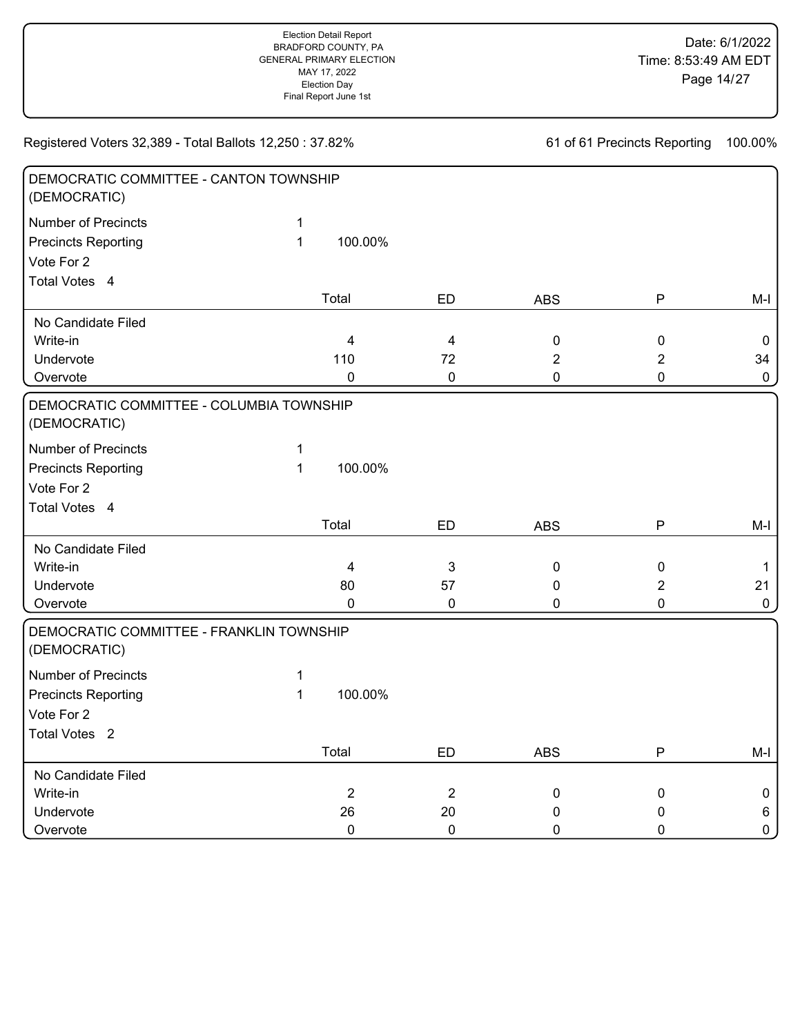| DEMOCRATIC COMMITTEE - CANTON TOWNSHIP<br>(DEMOCRATIC)   |              |                |                |                |                |             |
|----------------------------------------------------------|--------------|----------------|----------------|----------------|----------------|-------------|
| <b>Number of Precincts</b>                               | $\mathbf{1}$ |                |                |                |                |             |
| <b>Precincts Reporting</b>                               | $\mathbf{1}$ | 100.00%        |                |                |                |             |
| Vote For 2                                               |              |                |                |                |                |             |
| Total Votes 4                                            |              |                |                |                |                |             |
|                                                          |              | Total          | ED             | <b>ABS</b>     | $\mathsf{P}$   | $M-I$       |
| No Candidate Filed                                       |              |                |                |                |                |             |
| Write-in                                                 |              | $\overline{4}$ | $\overline{4}$ | $\pmb{0}$      | $\mathbf 0$    | 0           |
| Undervote                                                |              | 110            | 72             | $\overline{2}$ | $\overline{2}$ | 34          |
| Overvote                                                 |              | 0              | $\pmb{0}$      | $\mathbf 0$    | 0              | $\mathbf 0$ |
| DEMOCRATIC COMMITTEE - COLUMBIA TOWNSHIP<br>(DEMOCRATIC) |              |                |                |                |                |             |
| <b>Number of Precincts</b>                               | 1            |                |                |                |                |             |
| <b>Precincts Reporting</b>                               | $\mathbf{1}$ | 100.00%        |                |                |                |             |
| Vote For 2                                               |              |                |                |                |                |             |
| Total Votes 4                                            |              |                |                |                |                |             |
|                                                          |              | Total          | ED             | <b>ABS</b>     | ${\sf P}$      | $M-I$       |
| No Candidate Filed                                       |              |                |                |                |                |             |
| Write-in                                                 |              | $\overline{4}$ | 3              | $\pmb{0}$      | $\pmb{0}$      | $\mathbf 1$ |
| Undervote                                                |              | 80             | 57             | 0              | $\overline{2}$ | 21          |
| Overvote                                                 |              | 0              | $\pmb{0}$      | 0              | $\mathbf 0$    | $\mathbf 0$ |
| DEMOCRATIC COMMITTEE - FRANKLIN TOWNSHIP<br>(DEMOCRATIC) |              |                |                |                |                |             |
| <b>Number of Precincts</b>                               | 1            |                |                |                |                |             |
| <b>Precincts Reporting</b>                               | $\mathbf{1}$ | 100.00%        |                |                |                |             |
| Vote For 2                                               |              |                |                |                |                |             |
| Total Votes <sub>2</sub>                                 |              |                |                |                |                |             |
|                                                          |              | Total          | <b>ED</b>      | <b>ABS</b>     | P              | $M-I$       |
| No Candidate Filed                                       |              |                |                |                |                |             |
| Write-in                                                 |              | $\overline{2}$ | $\sqrt{2}$     | $\pmb{0}$      | $\pmb{0}$      | 0           |
| Undervote                                                |              | 26             | 20             | 0              | 0              | 6           |
| Overvote                                                 |              | $\mathbf 0$    | $\pmb{0}$      | $\mathbf 0$    | $\mathbf 0$    | $\mathbf 0$ |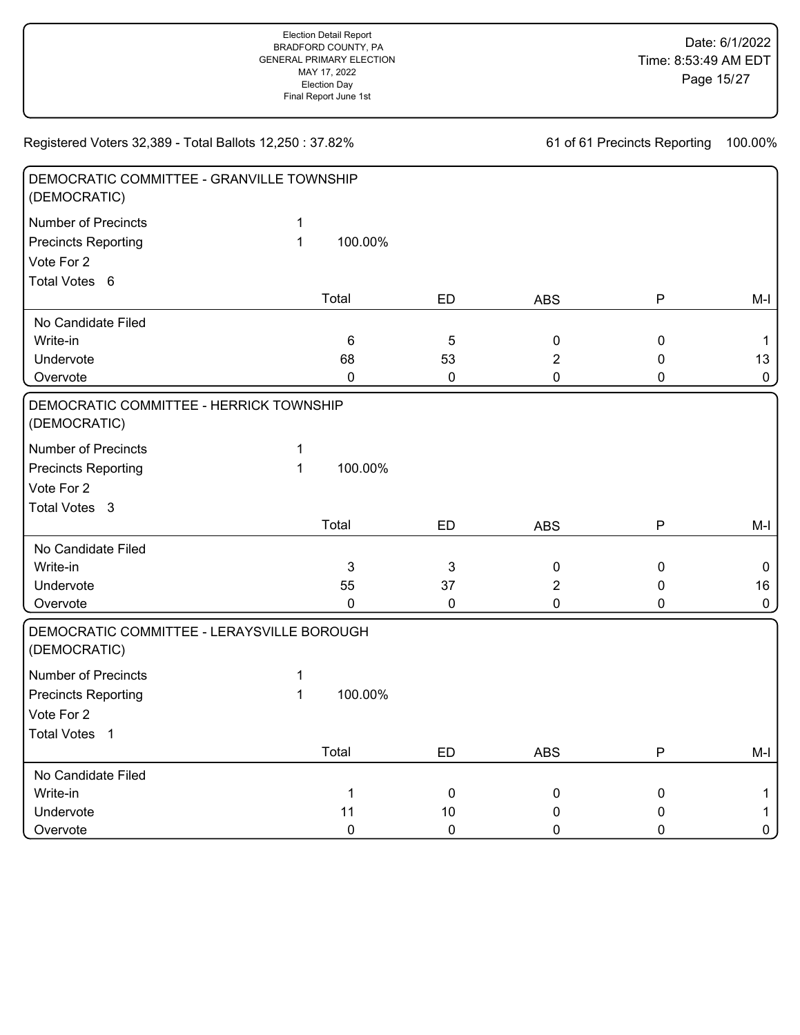| DEMOCRATIC COMMITTEE - GRANVILLE TOWNSHIP<br>(DEMOCRATIC)                               |                   |                         |                        |                                  |                                           |                                   |
|-----------------------------------------------------------------------------------------|-------------------|-------------------------|------------------------|----------------------------------|-------------------------------------------|-----------------------------------|
| <b>Number of Precincts</b><br><b>Precincts Reporting</b><br>Vote For 2<br>Total Votes 6 | 1<br>$\mathbf{1}$ | 100.00%                 |                        |                                  |                                           |                                   |
|                                                                                         |                   | Total                   | ED                     | <b>ABS</b>                       | $\mathsf{P}$                              | $M-I$                             |
| No Candidate Filed<br>Write-in<br>Undervote<br>Overvote                                 |                   | 6<br>68<br>$\mathbf 0$  | 5<br>53<br>$\mathbf 0$ | 0<br>$\overline{2}$<br>$\pmb{0}$ | $\mathbf 0$<br>$\mathbf 0$<br>$\mathbf 0$ | $\mathbf{1}$<br>13<br>$\mathbf 0$ |
| DEMOCRATIC COMMITTEE - HERRICK TOWNSHIP<br>(DEMOCRATIC)                                 |                   |                         |                        |                                  |                                           |                                   |
| <b>Number of Precincts</b><br><b>Precincts Reporting</b><br>Vote For 2<br>Total Votes 3 | 1<br>$\mathbf{1}$ | 100.00%                 |                        |                                  |                                           |                                   |
|                                                                                         |                   | Total                   | ED                     | <b>ABS</b>                       | P                                         | $M-I$                             |
| No Candidate Filed<br>Write-in<br>Undervote<br>Overvote                                 |                   | $\mathbf{3}$<br>55<br>0 | 3<br>37<br>$\mathbf 0$ | $\pmb{0}$<br>$\overline{2}$<br>0 | $\pmb{0}$<br>$\mathbf 0$<br>0             | $\mathbf 0$<br>16<br>$\mathbf 0$  |
| DEMOCRATIC COMMITTEE - LERAYSVILLE BOROUGH<br>(DEMOCRATIC)                              |                   |                         |                        |                                  |                                           |                                   |
| <b>Number of Precincts</b><br><b>Precincts Reporting</b><br>Vote For 2<br>Total Votes 1 | 1<br>$\mathbf{1}$ | 100.00%                 |                        |                                  |                                           |                                   |
|                                                                                         |                   | Total                   | <b>ED</b>              | <b>ABS</b>                       | P                                         | $M-I$                             |
| No Candidate Filed<br>Write-in<br>Undervote                                             |                   | $\mathbf 1$<br>11       | $\pmb{0}$<br>10        | 0<br>0                           | $\pmb{0}$<br>0                            | 1<br>1                            |
| Overvote                                                                                |                   | $\mathbf 0$             | $\mathbf 0$            | 0                                | $\mathbf 0$                               | $\pmb{0}$                         |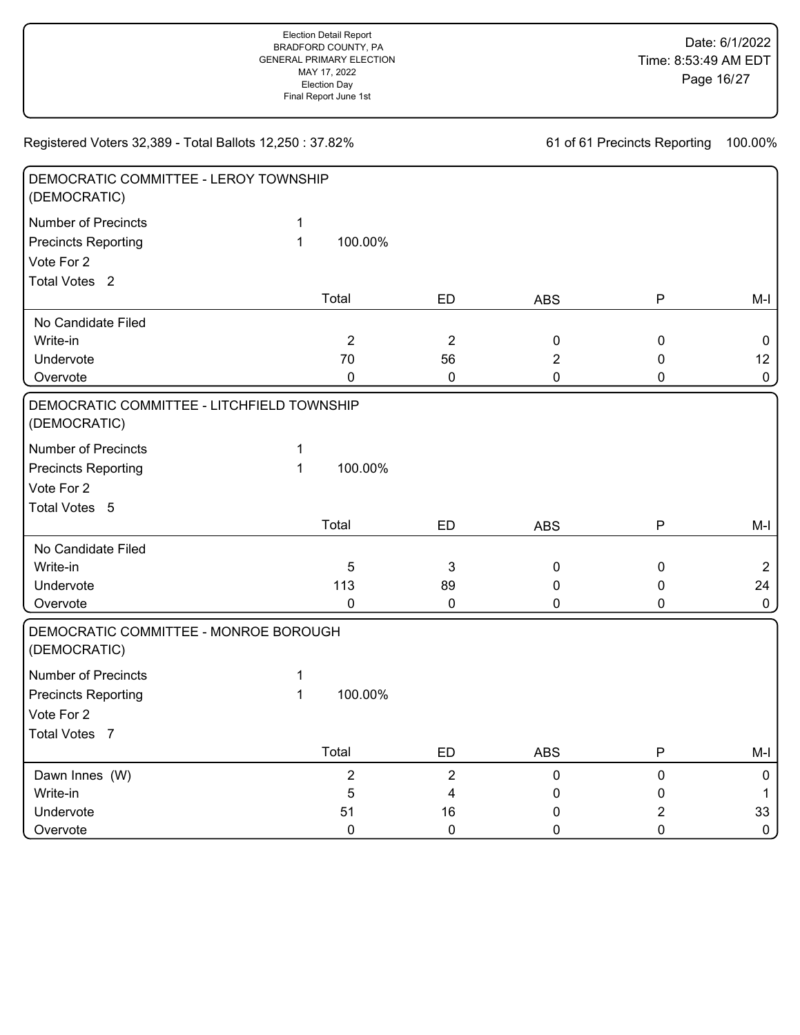| DEMOCRATIC COMMITTEE - LEROY TOWNSHIP<br>(DEMOCRATIC)      |              |                |                  |                |                |                |
|------------------------------------------------------------|--------------|----------------|------------------|----------------|----------------|----------------|
| <b>Number of Precincts</b>                                 | $\mathbf{1}$ |                |                  |                |                |                |
| <b>Precincts Reporting</b>                                 | $\mathbf{1}$ | 100.00%        |                  |                |                |                |
| Vote For 2                                                 |              |                |                  |                |                |                |
| Total Votes <sub>2</sub>                                   |              |                |                  |                |                |                |
|                                                            |              | Total          | <b>ED</b>        | <b>ABS</b>     | P              | M-I            |
| No Candidate Filed                                         |              |                |                  |                |                |                |
| Write-in                                                   |              | $\overline{2}$ | $\overline{2}$   | $\mathbf 0$    | $\pmb{0}$      | $\mathbf 0$    |
| Undervote                                                  |              | 70             | 56               | $\overline{2}$ | $\pmb{0}$      | 12             |
| Overvote                                                   |              | 0              | $\pmb{0}$        | $\mathbf 0$    | 0              | $\mathbf 0$    |
| DEMOCRATIC COMMITTEE - LITCHFIELD TOWNSHIP<br>(DEMOCRATIC) |              |                |                  |                |                |                |
| <b>Number of Precincts</b>                                 | $\mathbf 1$  |                |                  |                |                |                |
| <b>Precincts Reporting</b>                                 | $\mathbf{1}$ | 100.00%        |                  |                |                |                |
| Vote For 2                                                 |              |                |                  |                |                |                |
| Total Votes 5                                              |              |                |                  |                |                |                |
|                                                            |              | Total          | <b>ED</b>        | <b>ABS</b>     | ${\sf P}$      | $M-I$          |
| No Candidate Filed                                         |              |                |                  |                |                |                |
| Write-in                                                   |              | 5              | 3                | $\pmb{0}$      | $\pmb{0}$      | $\overline{2}$ |
| Undervote                                                  |              | 113            | 89               | 0              | 0              | 24             |
| Overvote                                                   |              | 0              | $\boldsymbol{0}$ | 0              | 0              | $\mathbf 0$    |
| DEMOCRATIC COMMITTEE - MONROE BOROUGH<br>(DEMOCRATIC)      |              |                |                  |                |                |                |
| <b>Number of Precincts</b>                                 | 1            |                |                  |                |                |                |
| <b>Precincts Reporting</b>                                 | $\mathbf{1}$ | 100.00%        |                  |                |                |                |
| Vote For 2                                                 |              |                |                  |                |                |                |
| Total Votes 7                                              |              |                |                  |                |                |                |
|                                                            |              | Total          | <b>ED</b>        | <b>ABS</b>     | ${\sf P}$      | M-I            |
| Dawn Innes (W)                                             |              | $\overline{2}$ | $\overline{c}$   | $\pmb{0}$      | $\pmb{0}$      | $\mathbf 0$    |
| Write-in                                                   |              | 5              | 4                | 0              | 0              | $\mathbf{1}$   |
| Undervote                                                  |              | 51             | 16               | 0              | $\overline{2}$ | 33             |
| Overvote                                                   |              | 0              | $\mathbf 0$      | $\mathbf 0$    | 0              | $\mathbf 0$    |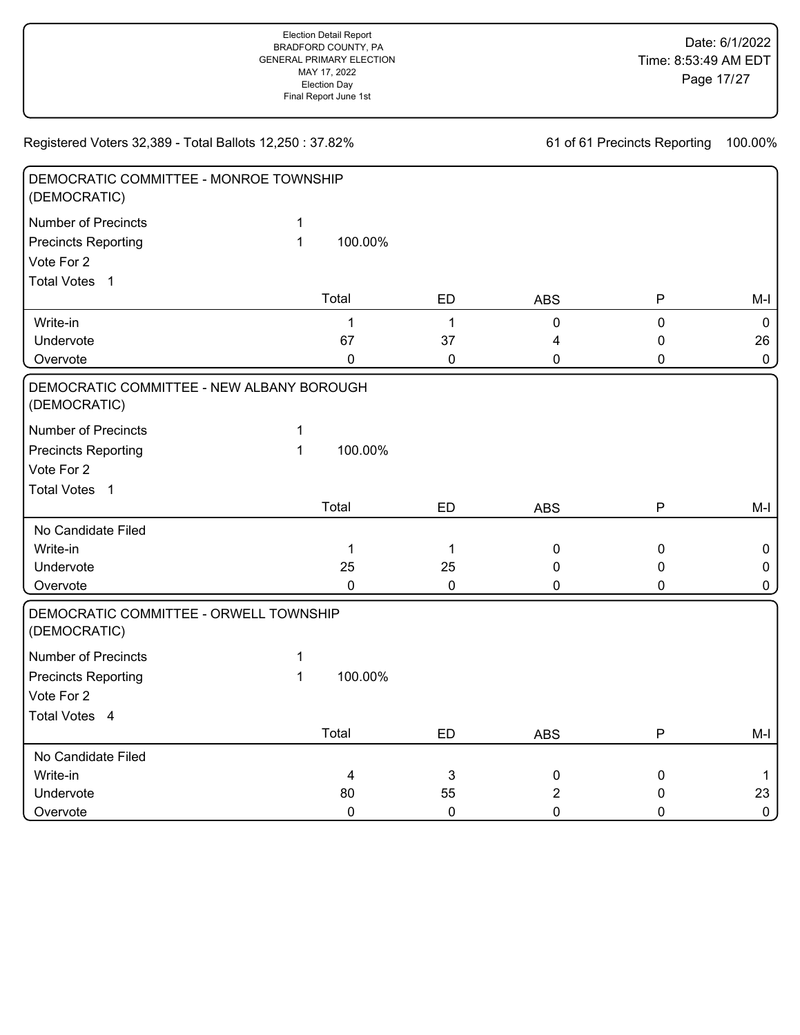DEMOCRATIC COMMITTEE - MONROE TOWNSHIP (DEMOCRATIC) Number of Precincts 1 Precincts Reporting 1 Vote For 2 Write-in 1 1 0 0 0 Undervote 67 37 4 0 26 Overvote 0 0 0 0 0 Total Votes 1 100.00% Total ED ABS P M-I DEMOCRATIC COMMITTEE - NEW ALBANY BOROUGH (DEMOCRATIC)

Registered Voters 32,389 - Total Ballots 12,250 : 37.82%

Number of Precincts 1 Precincts Reporting 1 Vote For 2 No Candidate Filed Write-in 1 1 0 0 0 Undervote 25 25 0 0 0 Overvote 0 0 0 0 0 Total Votes 1 100.00% Total ED ABS P M-I DEMOCRATIC COMMITTEE - ORWELL TOWNSHIP (DEMOCRATIC) Number of Precincts 1 Precincts Reporting 1 Vote For 2 No Candidate Filed Write-in 4 3 0 0 1 Undervote 80 55 2 0 23 Total Votes 4 100.00% Total ED ABS P M-I

Overvote 0 0 0 0 0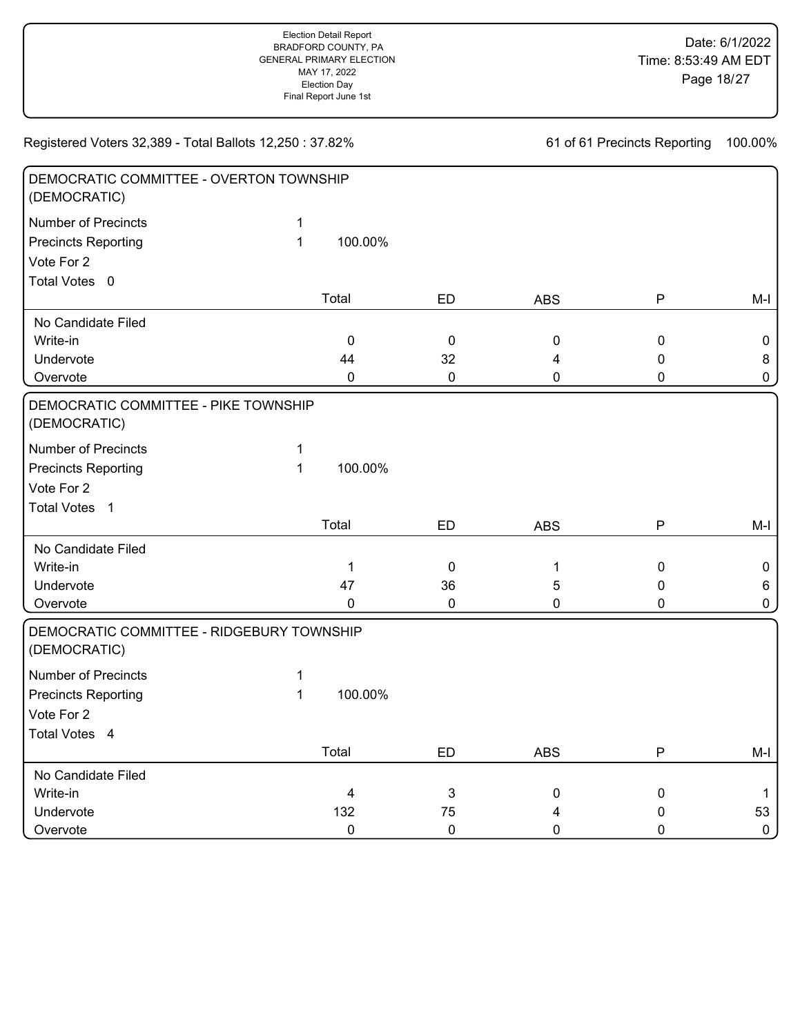| DEMOCRATIC COMMITTEE - OVERTON TOWNSHIP<br>(DEMOCRATIC)   |              |             |           |              |              |              |
|-----------------------------------------------------------|--------------|-------------|-----------|--------------|--------------|--------------|
| <b>Number of Precincts</b>                                | $\mathbf{1}$ |             |           |              |              |              |
| <b>Precincts Reporting</b>                                | $\mathbf{1}$ | 100.00%     |           |              |              |              |
| Vote For 2                                                |              |             |           |              |              |              |
| Total Votes 0                                             |              |             |           |              |              |              |
|                                                           |              | Total       | ED        | <b>ABS</b>   | $\mathsf{P}$ | $M-I$        |
| No Candidate Filed                                        |              |             |           |              |              |              |
| Write-in                                                  |              | $\mathbf 0$ | $\pmb{0}$ | $\pmb{0}$    | $\mathbf 0$  | 0            |
| Undervote                                                 |              | 44          | 32        | 4            | $\pmb{0}$    | 8            |
| Overvote                                                  |              | $\mathbf 0$ | $\pmb{0}$ | $\mathbf 0$  | 0            | $\mathbf 0$  |
| DEMOCRATIC COMMITTEE - PIKE TOWNSHIP<br>(DEMOCRATIC)      |              |             |           |              |              |              |
| <b>Number of Precincts</b>                                | 1            |             |           |              |              |              |
| <b>Precincts Reporting</b>                                | $\mathbf{1}$ | 100.00%     |           |              |              |              |
| Vote For 2                                                |              |             |           |              |              |              |
| Total Votes 1                                             |              |             |           |              |              |              |
|                                                           |              | Total       | ED        | <b>ABS</b>   | ${\sf P}$    | $M-I$        |
| No Candidate Filed                                        |              |             |           |              |              |              |
| Write-in                                                  |              | $\mathbf 1$ | $\pmb{0}$ | $\mathbf{1}$ | $\pmb{0}$    | $\pmb{0}$    |
| Undervote                                                 |              | 47          | 36        | 5            | 0            | 6            |
| Overvote                                                  |              | 0           | $\pmb{0}$ | 0            | $\mathbf 0$  | 0            |
| DEMOCRATIC COMMITTEE - RIDGEBURY TOWNSHIP<br>(DEMOCRATIC) |              |             |           |              |              |              |
| <b>Number of Precincts</b>                                | 1            |             |           |              |              |              |
| <b>Precincts Reporting</b>                                | $\mathbf{1}$ | 100.00%     |           |              |              |              |
| Vote For 2                                                |              |             |           |              |              |              |
| Total Votes 4                                             |              |             |           |              |              |              |
|                                                           |              | Total       | <b>ED</b> | <b>ABS</b>   | P            | M-I          |
| No Candidate Filed                                        |              |             |           |              |              |              |
| Write-in                                                  |              | 4           | 3         | $\pmb{0}$    | $\pmb{0}$    | $\mathbf{1}$ |
| Undervote                                                 |              | 132         | 75        | 4            | 0            | 53           |
| Overvote                                                  |              | $\mathbf 0$ | $\pmb{0}$ | $\mathbf 0$  | $\mathbf 0$  | $\mathbf 0$  |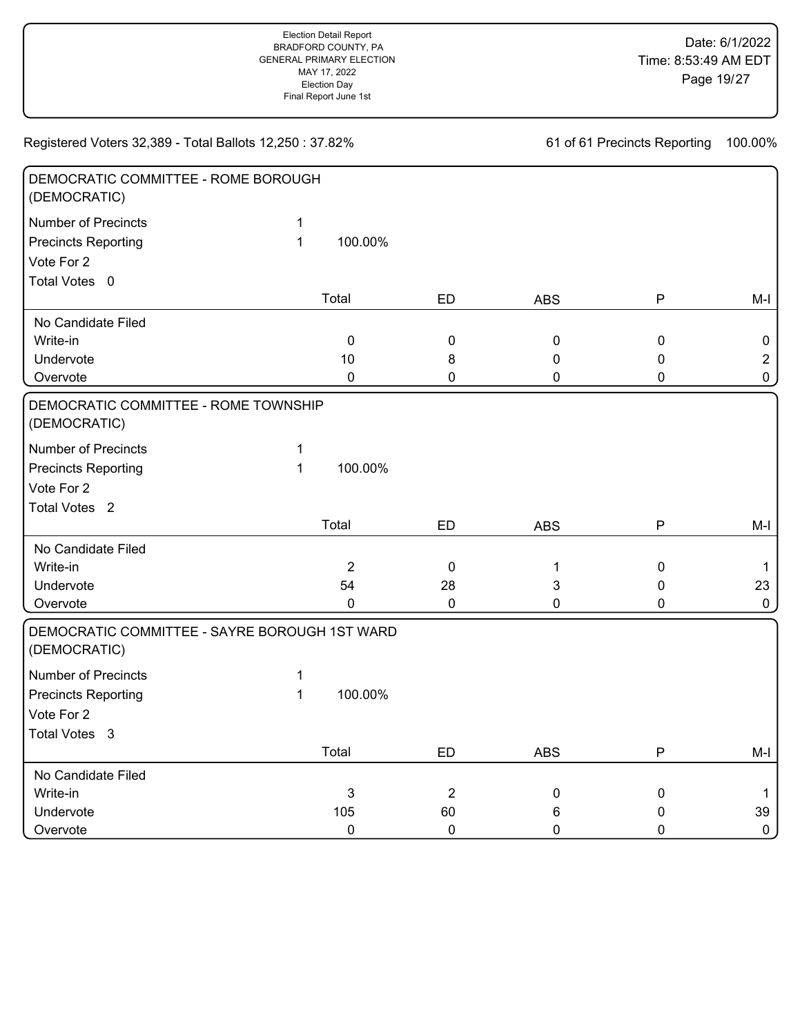| DEMOCRATIC COMMITTEE - ROME BOROUGH<br>(DEMOCRATIC)           |              |                |                |              |             |                |
|---------------------------------------------------------------|--------------|----------------|----------------|--------------|-------------|----------------|
| <b>Number of Precincts</b>                                    | $\mathbf{1}$ |                |                |              |             |                |
| <b>Precincts Reporting</b>                                    | $\mathbf{1}$ | 100.00%        |                |              |             |                |
| Vote For 2                                                    |              |                |                |              |             |                |
| Total Votes 0                                                 |              |                |                |              |             |                |
|                                                               |              | Total          | <b>ED</b>      | <b>ABS</b>   | P           | $M-I$          |
| No Candidate Filed                                            |              |                |                |              |             |                |
| Write-in                                                      |              | $\mathbf 0$    | 0              | 0            | $\mathbf 0$ | $\mathbf 0$    |
| Undervote                                                     |              | 10             | 8              | 0            | $\mathbf 0$ | $\overline{2}$ |
| Overvote                                                      |              | $\pmb{0}$      | 0              | 0            | $\pmb{0}$   | $\mathbf 0$    |
| DEMOCRATIC COMMITTEE - ROME TOWNSHIP<br>(DEMOCRATIC)          |              |                |                |              |             |                |
| <b>Number of Precincts</b>                                    | 1            |                |                |              |             |                |
| <b>Precincts Reporting</b>                                    | $\mathbf{1}$ | 100.00%        |                |              |             |                |
| Vote For 2                                                    |              |                |                |              |             |                |
| Total Votes <sub>2</sub>                                      |              |                |                |              |             |                |
|                                                               |              | Total          | ED             | <b>ABS</b>   | P           | $M-I$          |
| No Candidate Filed                                            |              |                |                |              |             |                |
| Write-in                                                      |              | $\overline{2}$ | $\mathbf 0$    | $\mathbf{1}$ | $\pmb{0}$   | $\mathbf{1}$   |
| Undervote                                                     |              | 54             | 28             | 3            | 0           | 23             |
| Overvote                                                      |              | $\mathbf 0$    | 0              | 0            | $\mathbf 0$ | $\mathbf 0$    |
| DEMOCRATIC COMMITTEE - SAYRE BOROUGH 1ST WARD<br>(DEMOCRATIC) |              |                |                |              |             |                |
| Number of Precincts                                           | $\mathbf 1$  |                |                |              |             |                |
| <b>Precincts Reporting</b>                                    | $\mathbf{1}$ | 100.00%        |                |              |             |                |
| Vote For 2                                                    |              |                |                |              |             |                |
| Total Votes 3                                                 |              |                |                |              |             |                |
|                                                               |              | Total          | <b>ED</b>      | <b>ABS</b>   | P           | $M-I$          |
| No Candidate Filed                                            |              |                |                |              |             |                |
| Write-in                                                      |              | 3              | $\overline{2}$ | $\pmb{0}$    | $\pmb{0}$   | $\mathbf{1}$   |
| Undervote                                                     |              | 105            | 60             | 6            | 0           | 39             |
| Overvote                                                      |              | $\mathbf 0$    | $\mathbf 0$    | 0            | $\mathbf 0$ | $\pmb{0}$      |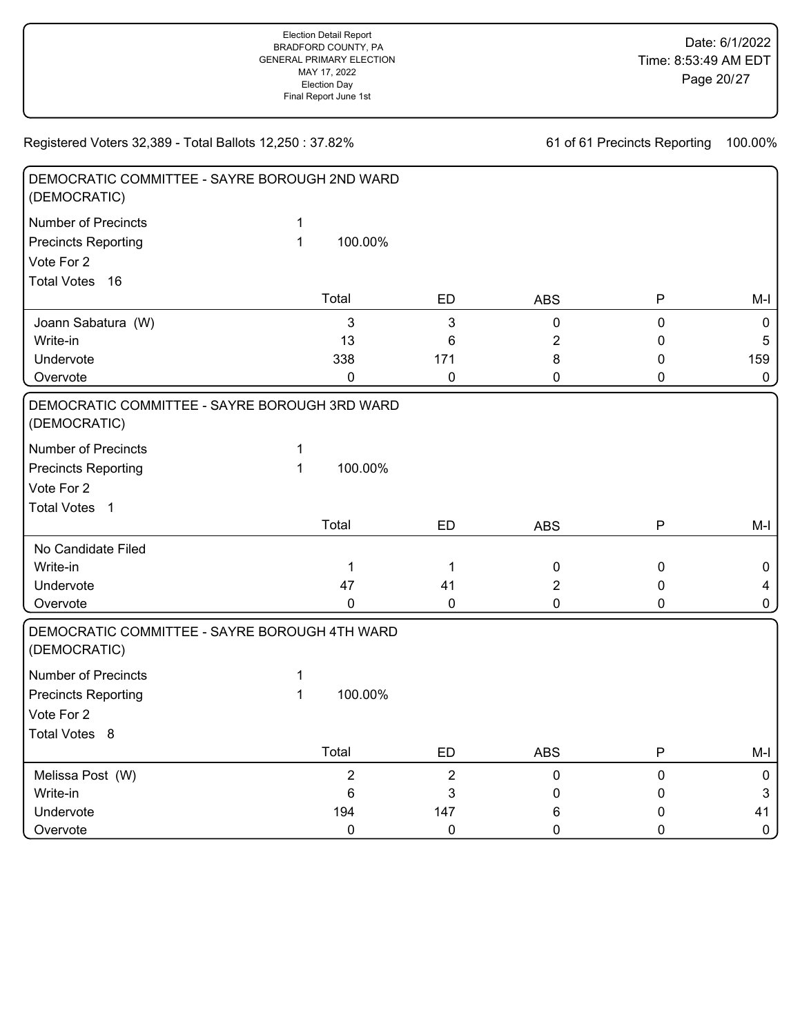| DEMOCRATIC COMMITTEE - SAYRE BOROUGH 2ND WARD<br>(DEMOCRATIC) |              |                |                |                |             |                  |
|---------------------------------------------------------------|--------------|----------------|----------------|----------------|-------------|------------------|
| <b>Number of Precincts</b>                                    | 1            |                |                |                |             |                  |
| <b>Precincts Reporting</b>                                    | $\mathbf{1}$ | 100.00%        |                |                |             |                  |
| Vote For 2                                                    |              |                |                |                |             |                  |
| <b>Total Votes</b><br>16                                      |              |                |                |                |             |                  |
|                                                               |              | Total          | <b>ED</b>      | <b>ABS</b>     | P           | $M-I$            |
| Joann Sabatura (W)                                            |              | $\mathbf{3}$   | 3              | $\pmb{0}$      | $\mathbf 0$ | $\boldsymbol{0}$ |
| Write-in                                                      |              | 13             | 6              | $\overline{2}$ | 0           | 5                |
| Undervote                                                     |              | 338            | 171            | 8              | 0           | 159              |
| Overvote                                                      |              | $\mathbf 0$    | 0              | 0              | 0           | $\pmb{0}$        |
| DEMOCRATIC COMMITTEE - SAYRE BOROUGH 3RD WARD<br>(DEMOCRATIC) |              |                |                |                |             |                  |
| <b>Number of Precincts</b>                                    | $\mathbf 1$  |                |                |                |             |                  |
| <b>Precincts Reporting</b>                                    | $\mathbf{1}$ | 100.00%        |                |                |             |                  |
| Vote For 2                                                    |              |                |                |                |             |                  |
| <b>Total Votes</b><br>$\overline{1}$                          |              |                |                |                |             |                  |
|                                                               |              | Total          | <b>ED</b>      | <b>ABS</b>     | ${\sf P}$   | $M-I$            |
| No Candidate Filed                                            |              |                |                |                |             |                  |
| Write-in                                                      |              | $\mathbf 1$    | $\mathbf 1$    | $\pmb{0}$      | $\pmb{0}$   | $\mathbf 0$      |
| Undervote                                                     |              | 47             | 41             | $\overline{2}$ | 0           | $\overline{4}$   |
| Overvote                                                      |              | $\mathbf 0$    | $\mathbf 0$    | 0              | 0           | $\mathbf 0$      |
| DEMOCRATIC COMMITTEE - SAYRE BOROUGH 4TH WARD<br>(DEMOCRATIC) |              |                |                |                |             |                  |
| <b>Number of Precincts</b>                                    | 1            |                |                |                |             |                  |
| <b>Precincts Reporting</b>                                    | 1            | 100.00%        |                |                |             |                  |
| Vote For 2                                                    |              |                |                |                |             |                  |
| Total Votes 8                                                 |              |                |                |                |             |                  |
|                                                               |              | Total          | <b>ED</b>      | <b>ABS</b>     | ${\sf P}$   | $M-I$            |
| Melissa Post (W)                                              |              | $\overline{2}$ | $\overline{2}$ | 0              | $\pmb{0}$   | $\mathbf 0$      |
| Write-in                                                      |              | $6\phantom{1}$ | 3              | 0              | 0           | $\mathbf{3}$     |
| Undervote                                                     |              | 194            | 147            | 6              | 0           | 41               |
| Overvote                                                      |              | $\mathbf 0$    | $\mathbf 0$    | 0              | 0           | $\mathbf 0$      |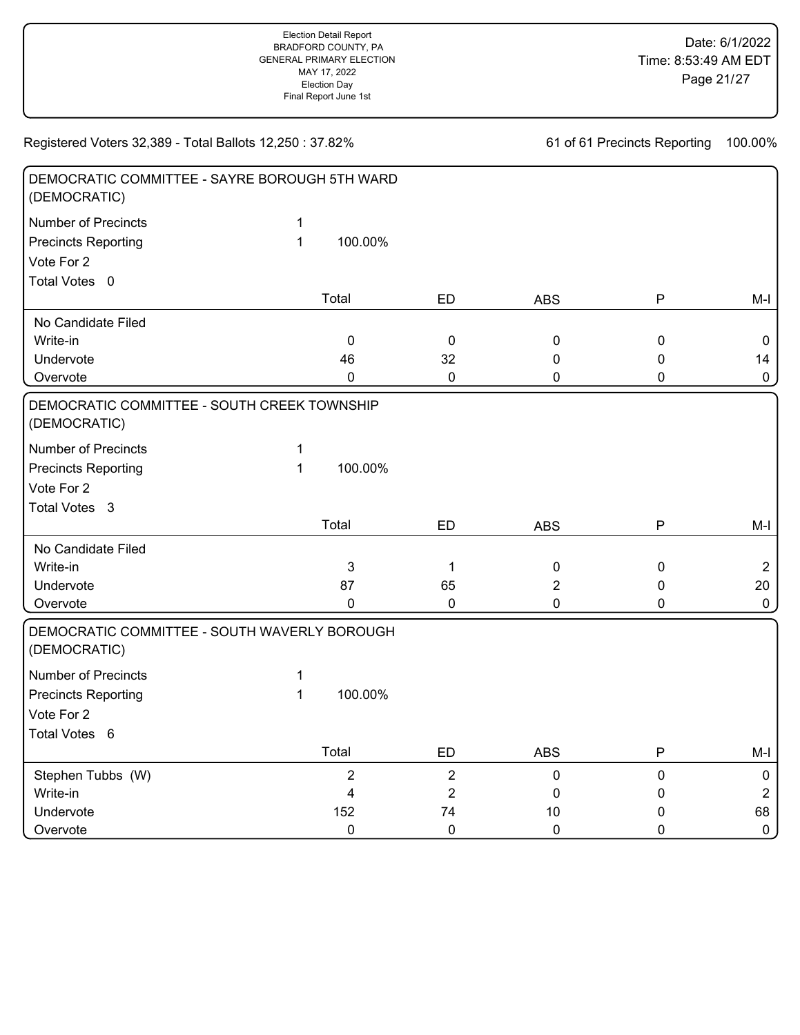| DEMOCRATIC COMMITTEE - SAYRE BOROUGH 5TH WARD<br>(DEMOCRATIC) |              |                |                  |                |              |                     |
|---------------------------------------------------------------|--------------|----------------|------------------|----------------|--------------|---------------------|
| <b>Number of Precincts</b>                                    | 1            |                |                  |                |              |                     |
| <b>Precincts Reporting</b>                                    | $\mathbf{1}$ | 100.00%        |                  |                |              |                     |
| Vote For 2                                                    |              |                |                  |                |              |                     |
| Total Votes 0                                                 |              |                |                  |                |              |                     |
|                                                               |              | Total          | <b>ED</b>        | <b>ABS</b>     | P            | $M-I$               |
| No Candidate Filed                                            |              |                |                  |                |              |                     |
| Write-in                                                      |              | $\mathbf 0$    | $\mathbf 0$      | 0              | $\pmb{0}$    | $\mathbf 0$         |
| Undervote                                                     |              | 46             | 32               | 0              | $\mathbf 0$  | 14                  |
| Overvote                                                      |              | 0              | $\pmb{0}$        | 0              | 0            | $\mathbf 0$         |
| DEMOCRATIC COMMITTEE - SOUTH CREEK TOWNSHIP                   |              |                |                  |                |              |                     |
| (DEMOCRATIC)                                                  |              |                |                  |                |              |                     |
| <b>Number of Precincts</b>                                    | 1            |                |                  |                |              |                     |
| <b>Precincts Reporting</b>                                    | $\mathbf{1}$ | 100.00%        |                  |                |              |                     |
| Vote For 2                                                    |              |                |                  |                |              |                     |
| Total Votes 3                                                 |              |                |                  |                |              |                     |
|                                                               |              | Total          | ED               | <b>ABS</b>     | P            | $M-I$               |
| No Candidate Filed                                            |              |                |                  |                |              |                     |
| Write-in                                                      |              | 3              | 1                | $\pmb{0}$      | $\pmb{0}$    | $\overline{2}$      |
| Undervote                                                     |              | 87             | 65               | $\overline{2}$ | $\mathbf 0$  | 20                  |
| Overvote                                                      |              | 0              | $\pmb{0}$        | 0              | $\mathbf{0}$ | $\mathbf 0$         |
| DEMOCRATIC COMMITTEE - SOUTH WAVERLY BOROUGH<br>(DEMOCRATIC)  |              |                |                  |                |              |                     |
| Number of Precincts                                           | $\mathbf 1$  |                |                  |                |              |                     |
| <b>Precincts Reporting</b>                                    | $\mathbf{1}$ | 100.00%        |                  |                |              |                     |
| Vote For 2                                                    |              |                |                  |                |              |                     |
| Total Votes 6                                                 |              |                |                  |                |              |                     |
|                                                               |              | Total          | <b>ED</b>        | <b>ABS</b>     | Ρ            | $M-I$               |
| Stephen Tubbs (W)                                             |              | $\overline{2}$ | $\overline{2}$   | $\pmb{0}$      | $\pmb{0}$    | $\boldsymbol{0}$    |
| Write-in                                                      |              | 4              | $\boldsymbol{2}$ | 0              | 0            | $\overline{2}$      |
| Undervote                                                     |              | 152            | 74               | 10             | 0            | 68                  |
| Overvote                                                      |              | $\mathbf 0$    | $\pmb{0}$        | $\mathbf 0$    | $\mathbf 0$  | $\mathsf{O}\xspace$ |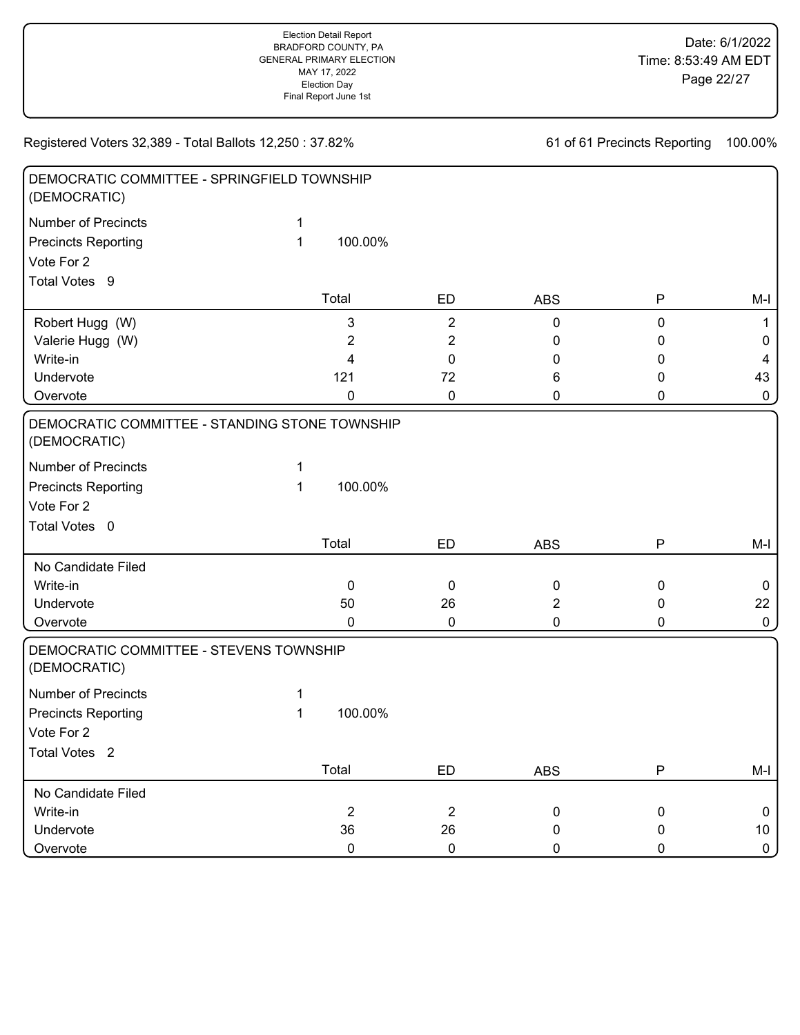| DEMOCRATIC COMMITTEE - SPRINGFIELD TOWNSHIP<br>(DEMOCRATIC)    |   |                |                |                |             |                 |
|----------------------------------------------------------------|---|----------------|----------------|----------------|-------------|-----------------|
| <b>Number of Precincts</b>                                     | 1 |                |                |                |             |                 |
| <b>Precincts Reporting</b>                                     | 1 | 100.00%        |                |                |             |                 |
| Vote For 2                                                     |   |                |                |                |             |                 |
| Total Votes 9                                                  |   |                |                |                |             |                 |
|                                                                |   | Total          | ED             | <b>ABS</b>     | ${\sf P}$   | M-I             |
| Robert Hugg (W)                                                |   | 3              | $\overline{2}$ | $\pmb{0}$      | $\pmb{0}$   | $\mathbf 1$     |
| Valerie Hugg (W)                                               |   | $\overline{c}$ | 2              | 0              | 0           | 0               |
| Write-in                                                       |   | 4              | 0              | 0              | 0           | $\overline{4}$  |
| Undervote                                                      |   | 121            | 72             | 6              | 0           | 43              |
| Overvote                                                       |   | 0              | 0              | 0              | 0           | $\mathbf 0$     |
| DEMOCRATIC COMMITTEE - STANDING STONE TOWNSHIP<br>(DEMOCRATIC) |   |                |                |                |             |                 |
| <b>Number of Precincts</b>                                     | 1 |                |                |                |             |                 |
| <b>Precincts Reporting</b>                                     | 1 | 100.00%        |                |                |             |                 |
| Vote For 2                                                     |   |                |                |                |             |                 |
| Total Votes 0                                                  |   |                |                |                |             |                 |
|                                                                |   | Total          | ED             | <b>ABS</b>     | ${\sf P}$   | M-I             |
| No Candidate Filed                                             |   |                |                |                |             |                 |
| Write-in                                                       |   | $\pmb{0}$      | $\mathbf 0$    | $\mathbf 0$    | 0           | $\mathbf 0$     |
| Undervote                                                      |   | 50             | 26             | $\overline{2}$ | 0           | 22              |
| Overvote                                                       |   | 0              | 0              | 0              | 0           | $\mathbf 0$     |
| DEMOCRATIC COMMITTEE - STEVENS TOWNSHIP<br>(DEMOCRATIC)        |   |                |                |                |             |                 |
| <b>Number of Precincts</b>                                     | 1 |                |                |                |             |                 |
| <b>Precincts Reporting</b>                                     | 1 | 100.00%        |                |                |             |                 |
| Vote For 2                                                     |   |                |                |                |             |                 |
| Total Votes <sub>2</sub>                                       |   |                |                |                |             |                 |
|                                                                |   | Total          | ED             | <b>ABS</b>     | ${\sf P}$   | M-I             |
| No Candidate Filed                                             |   |                |                |                |             |                 |
| Write-in                                                       |   | $\overline{2}$ | $\overline{2}$ | $\mathbf 0$    | $\mathbf 0$ | $\mathbf 0$     |
| Undervote                                                      |   | 36             | 26             | 0              | 0           | 10 <sub>1</sub> |
| Overvote                                                       |   | $\pmb{0}$      | $\pmb{0}$      | $\pmb{0}$      | 0           | $\mathbf{0}$    |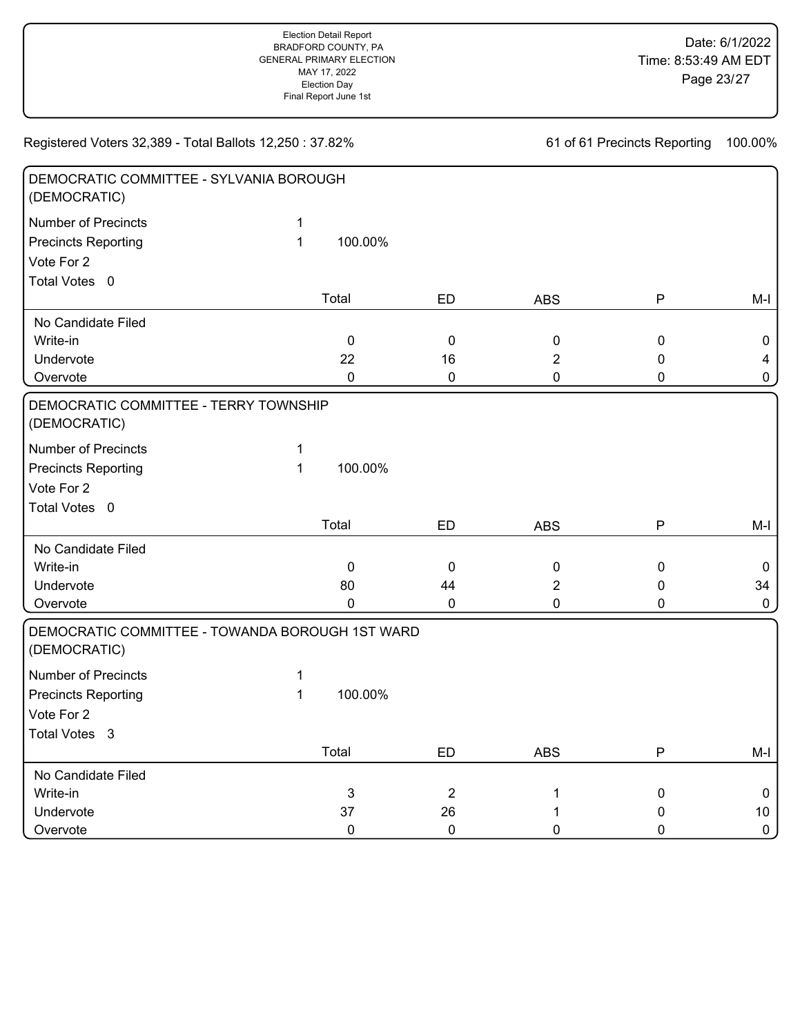| DEMOCRATIC COMMITTEE - SYLVANIA BOROUGH<br>(DEMOCRATIC)         |                              |             |                |                |             |                 |
|-----------------------------------------------------------------|------------------------------|-------------|----------------|----------------|-------------|-----------------|
| <b>Number of Precincts</b><br><b>Precincts Reporting</b>        | $\mathbf{1}$<br>$\mathbf{1}$ | 100.00%     |                |                |             |                 |
| Vote For 2                                                      |                              |             |                |                |             |                 |
| Total Votes 0                                                   |                              |             |                |                |             |                 |
|                                                                 |                              | Total       | ED             | <b>ABS</b>     | P           | $M-I$           |
| No Candidate Filed                                              |                              |             |                |                |             |                 |
| Write-in                                                        |                              | $\mathbf 0$ | 0              | $\pmb{0}$      | $\pmb{0}$   | 0               |
| Undervote                                                       |                              | 22          | 16             | $\overline{2}$ | $\pmb{0}$   | $\overline{4}$  |
| Overvote                                                        |                              | $\pmb{0}$   | 0              | $\mathbf 0$    | $\mathbf 0$ | $\mathbf 0$     |
| DEMOCRATIC COMMITTEE - TERRY TOWNSHIP<br>(DEMOCRATIC)           |                              |             |                |                |             |                 |
| <b>Number of Precincts</b>                                      | 1                            |             |                |                |             |                 |
| <b>Precincts Reporting</b>                                      | $\mathbf{1}$                 | 100.00%     |                |                |             |                 |
| Vote For 2                                                      |                              |             |                |                |             |                 |
| Total Votes 0                                                   |                              |             |                |                |             |                 |
|                                                                 |                              | Total       | ED             | <b>ABS</b>     | P           | $M-I$           |
| No Candidate Filed                                              |                              |             |                |                |             |                 |
| Write-in                                                        |                              | $\mathbf 0$ | $\mathbf 0$    | $\pmb{0}$      | $\pmb{0}$   | $\mathbf 0$     |
| Undervote                                                       |                              | 80          | 44             | 2              | 0           | 34              |
| Overvote                                                        |                              | $\mathbf 0$ | 0              | 0              | $\mathbf 0$ | $\mathbf 0$     |
| DEMOCRATIC COMMITTEE - TOWANDA BOROUGH 1ST WARD<br>(DEMOCRATIC) |                              |             |                |                |             |                 |
| <b>Number of Precincts</b>                                      | 1                            |             |                |                |             |                 |
| <b>Precincts Reporting</b>                                      | $\mathbf{1}$                 | 100.00%     |                |                |             |                 |
| Vote For 2                                                      |                              |             |                |                |             |                 |
| Total Votes 3                                                   |                              |             |                |                |             |                 |
|                                                                 |                              | Total       | <b>ED</b>      | <b>ABS</b>     | P           | $M-I$           |
| No Candidate Filed                                              |                              |             |                |                |             |                 |
| Write-in                                                        |                              | 3           | $\overline{2}$ | 1              | $\pmb{0}$   | $\mathbf 0$     |
| Undervote                                                       |                              | 37          | 26             |                | 0           | 10 <sub>1</sub> |
| Overvote                                                        |                              | $\mathbf 0$ | $\mathbf 0$    | 0              | $\mathbf 0$ | $\mathbf 0$     |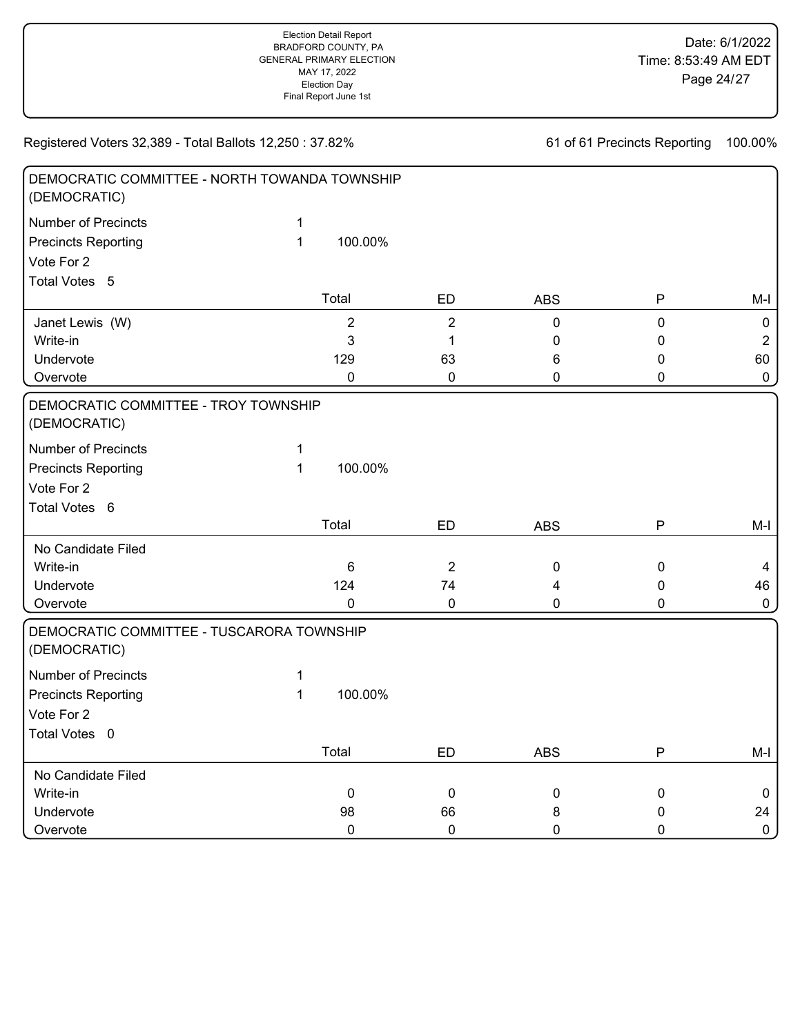| DEMOCRATIC COMMITTEE - NORTH TOWANDA TOWNSHIP<br>(DEMOCRATIC) |              |                  |                |             |              |                  |
|---------------------------------------------------------------|--------------|------------------|----------------|-------------|--------------|------------------|
| <b>Number of Precincts</b>                                    | 1            |                  |                |             |              |                  |
| <b>Precincts Reporting</b>                                    | $\mathbf{1}$ | 100.00%          |                |             |              |                  |
| Vote For 2                                                    |              |                  |                |             |              |                  |
| Total Votes 5                                                 |              |                  |                |             |              |                  |
|                                                               |              | Total            | <b>ED</b>      | <b>ABS</b>  | $\mathsf{P}$ | $M-I$            |
| Janet Lewis (W)                                               |              | $\boldsymbol{2}$ | $\overline{2}$ | $\mathbf 0$ | $\mathbf 0$  | $\boldsymbol{0}$ |
| Write-in                                                      |              | 3                | 1              | 0           | 0            | $\overline{2}$   |
| Undervote                                                     |              | 129              | 63             | 6           | 0            | 60               |
| Overvote                                                      |              | 0                | $\pmb{0}$      | 0           | 0            | $\pmb{0}$        |
| DEMOCRATIC COMMITTEE - TROY TOWNSHIP<br>(DEMOCRATIC)          |              |                  |                |             |              |                  |
| <b>Number of Precincts</b>                                    | $\mathbf 1$  |                  |                |             |              |                  |
| <b>Precincts Reporting</b>                                    | $\mathbf{1}$ | 100.00%          |                |             |              |                  |
| Vote For 2                                                    |              |                  |                |             |              |                  |
| Total Votes 6                                                 |              |                  |                |             |              |                  |
|                                                               |              | Total            | <b>ED</b>      | <b>ABS</b>  | ${\sf P}$    | $M-I$            |
| No Candidate Filed                                            |              |                  |                |             |              |                  |
| Write-in                                                      |              | $6\phantom{1}$   | $\overline{2}$ | $\pmb{0}$   | $\pmb{0}$    | 4                |
| Undervote                                                     |              | 124              | 74             | 4           | 0            | 46               |
| Overvote                                                      |              | 0                | 0              | 0           | 0            | $\pmb{0}$        |
| DEMOCRATIC COMMITTEE - TUSCARORA TOWNSHIP<br>(DEMOCRATIC)     |              |                  |                |             |              |                  |
| <b>Number of Precincts</b>                                    | 1            |                  |                |             |              |                  |
| <b>Precincts Reporting</b>                                    | $\mathbf{1}$ | 100.00%          |                |             |              |                  |
| Vote For 2                                                    |              |                  |                |             |              |                  |
| Total Votes 0                                                 |              |                  |                |             |              |                  |
|                                                               |              | Total            | ED             | <b>ABS</b>  | P            | $M-I$            |
| No Candidate Filed                                            |              |                  |                |             |              |                  |
| Write-in                                                      |              | $\mathbf 0$      | $\mathbf 0$    | $\pmb{0}$   | 0            | $\mathbf 0$      |
| Undervote                                                     |              | 98               | 66             | 8           | 0            | 24               |
| Overvote                                                      |              | 0                | $\mathbf 0$    | 0           | 0            | $\pmb{0}$        |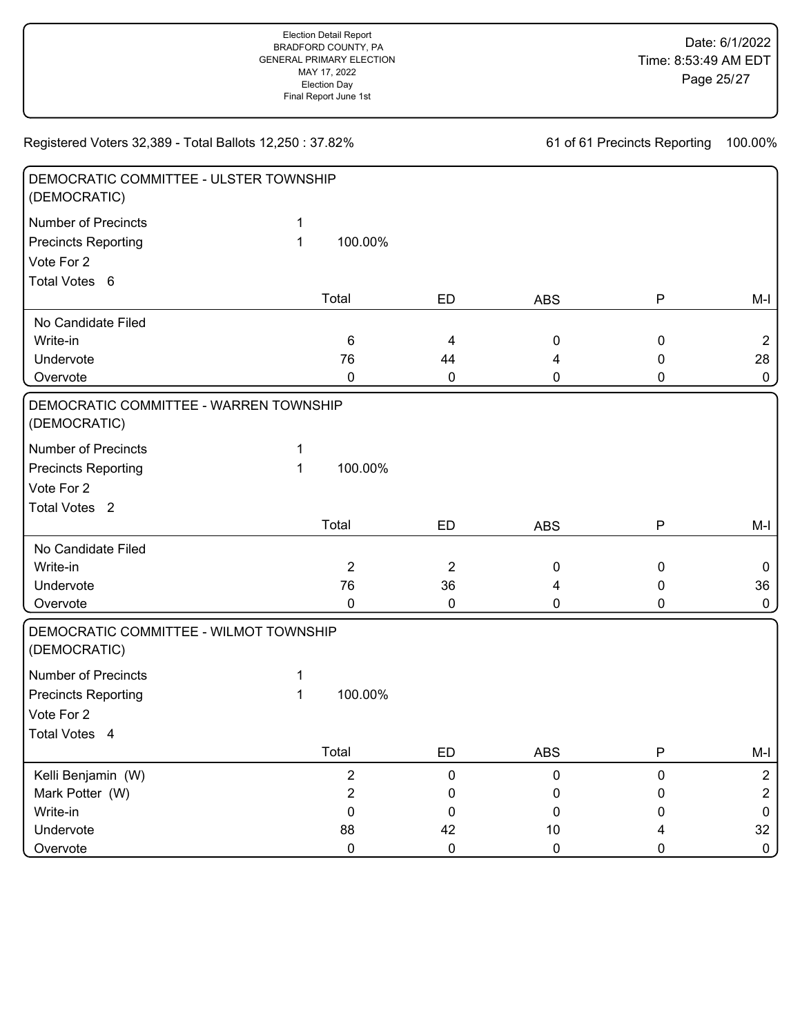| DEMOCRATIC COMMITTEE - ULSTER TOWNSHIP<br>(DEMOCRATIC) |   |                |                |              |              |                |
|--------------------------------------------------------|---|----------------|----------------|--------------|--------------|----------------|
| <b>Number of Precincts</b>                             | 1 |                |                |              |              |                |
| <b>Precincts Reporting</b>                             | 1 | 100.00%        |                |              |              |                |
| Vote For 2                                             |   |                |                |              |              |                |
| Total Votes 6                                          |   |                |                |              |              |                |
|                                                        |   | Total          | ED             | <b>ABS</b>   | $\mathsf{P}$ | M-I            |
| No Candidate Filed                                     |   |                |                |              |              |                |
| Write-in                                               |   | $\,6$          | 4              | 0            | $\pmb{0}$    | $\overline{2}$ |
| Undervote                                              |   | 76             | 44             | 4            | 0            | 28             |
| Overvote                                               |   | 0              | 0              | 0            | 0            | $\mathbf 0$    |
| DEMOCRATIC COMMITTEE - WARREN TOWNSHIP<br>(DEMOCRATIC) |   |                |                |              |              |                |
| <b>Number of Precincts</b>                             | 1 |                |                |              |              |                |
| <b>Precincts Reporting</b>                             | 1 | 100.00%        |                |              |              |                |
| Vote For 2                                             |   |                |                |              |              |                |
| Total Votes <sub>2</sub>                               |   |                |                |              |              |                |
|                                                        |   | Total          | ED             | <b>ABS</b>   | ${\sf P}$    | $M-I$          |
| No Candidate Filed                                     |   |                |                |              |              |                |
| Write-in                                               |   | $\overline{2}$ | $\overline{2}$ | $\pmb{0}$    | $\pmb{0}$    | $\mathbf 0$    |
| Undervote                                              |   | 76             | 36             | 4            | 0            | 36             |
| Overvote                                               |   | 0              | $\pmb{0}$      | $\mathbf 0$  | 0            | $\mathbf 0$    |
| DEMOCRATIC COMMITTEE - WILMOT TOWNSHIP<br>(DEMOCRATIC) |   |                |                |              |              |                |
| <b>Number of Precincts</b>                             | 1 |                |                |              |              |                |
| <b>Precincts Reporting</b>                             | 1 | 100.00%        |                |              |              |                |
| Vote For 2                                             |   |                |                |              |              |                |
| Total Votes 4                                          |   |                |                |              |              |                |
|                                                        |   | Total          | ED             | ABS          | P            | M-I            |
| Kelli Benjamin (W)                                     |   | $\overline{c}$ | 0              | $\mathbf{0}$ | 0            | $\overline{c}$ |
| Mark Potter (W)                                        |   | $\overline{c}$ | 0              | 0            | 0            | $\overline{2}$ |
| Write-in                                               |   | 0              | 0              | 0            | 0            | $\mathbf 0$    |
| Undervote                                              |   | 88             | 42             | 10           | 4            | 32             |
| Overvote                                               |   | $\pmb{0}$      | $\pmb{0}$      | $\pmb{0}$    | 0            | $\mathbf 0$    |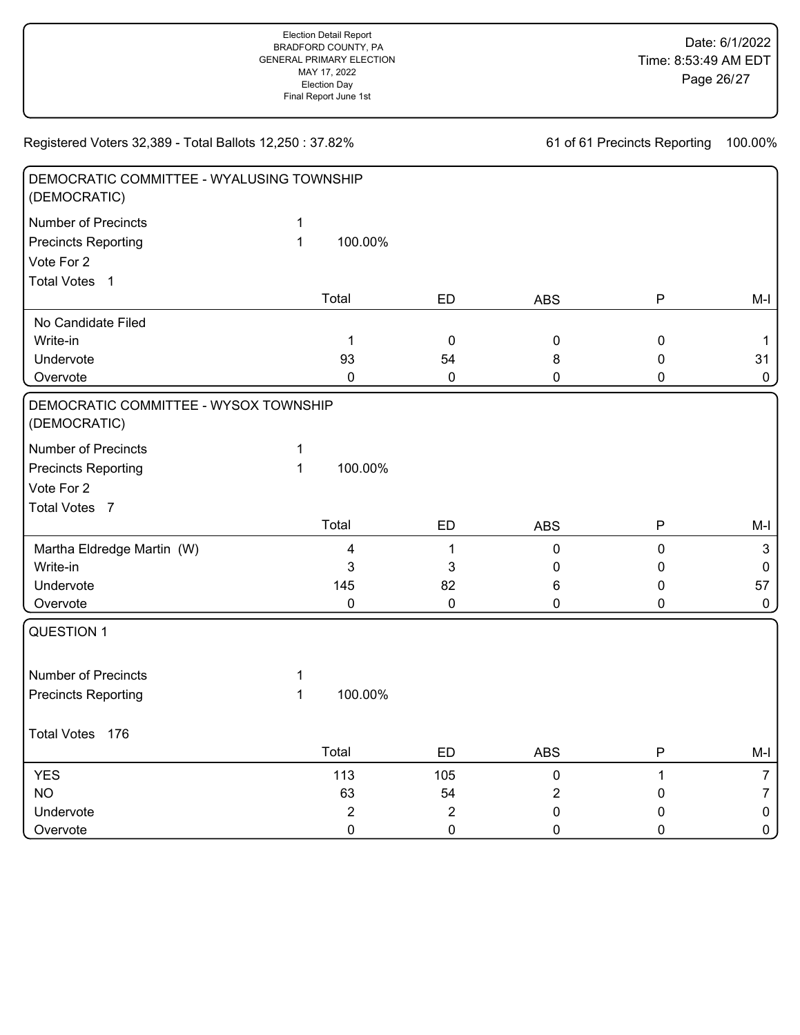| DEMOCRATIC COMMITTEE - WYALUSING TOWNSHIP<br>(DEMOCRATIC) |              |                         |                |                |             |                |
|-----------------------------------------------------------|--------------|-------------------------|----------------|----------------|-------------|----------------|
| <b>Number of Precincts</b>                                | $\mathbf{1}$ |                         |                |                |             |                |
| <b>Precincts Reporting</b>                                | $\mathbf{1}$ | 100.00%                 |                |                |             |                |
| Vote For 2                                                |              |                         |                |                |             |                |
| <b>Total Votes</b><br>$\overline{1}$                      |              |                         |                |                |             |                |
|                                                           |              | Total                   | <b>ED</b>      | <b>ABS</b>     | P           | $M-I$          |
| No Candidate Filed                                        |              |                         |                |                |             |                |
| Write-in                                                  |              | 1                       | $\mathbf 0$    | $\pmb{0}$      | $\pmb{0}$   | $\mathbf 1$    |
| Undervote                                                 |              | 93                      | 54             | 8              | $\pmb{0}$   | 31             |
| Overvote                                                  |              | 0                       | $\pmb{0}$      | 0              | $\pmb{0}$   | $\pmb{0}$      |
| DEMOCRATIC COMMITTEE - WYSOX TOWNSHIP<br>(DEMOCRATIC)     |              |                         |                |                |             |                |
| Number of Precincts                                       | $\mathbf{1}$ |                         |                |                |             |                |
| <b>Precincts Reporting</b>                                | $\mathbf{1}$ | 100.00%                 |                |                |             |                |
| Vote For 2                                                |              |                         |                |                |             |                |
| Total Votes 7                                             |              |                         |                |                |             |                |
|                                                           |              | Total                   | <b>ED</b>      | <b>ABS</b>     | P           | $M-I$          |
| Martha Eldredge Martin (W)                                |              | $\overline{\mathbf{4}}$ | $\mathbf 1$    | 0              | $\pmb{0}$   | $\mathbf{3}$   |
| Write-in                                                  |              | 3                       | 3              | 0              | $\mathbf 0$ | $\mathbf 0$    |
| Undervote                                                 |              | 145                     | 82             | 6              | $\mathbf 0$ | 57             |
| Overvote                                                  |              | 0                       | $\pmb{0}$      | 0              | $\mathbf 0$ | $\mathbf 0$    |
| <b>QUESTION 1</b>                                         |              |                         |                |                |             |                |
| <b>Number of Precincts</b>                                | 1            |                         |                |                |             |                |
| <b>Precincts Reporting</b>                                | $\mathbf{1}$ | 100.00%                 |                |                |             |                |
| Total Votes 176                                           |              |                         |                |                |             |                |
|                                                           |              | Total                   | <b>ED</b>      | <b>ABS</b>     | P           | $M-I$          |
| <b>YES</b>                                                |              | 113                     | 105            | $\pmb{0}$      | $\mathbf 1$ | $\overline{7}$ |
| <b>NO</b>                                                 |              | 63                      | 54             | $\overline{2}$ | 0           | $\overline{7}$ |
| Undervote                                                 |              | $\overline{2}$          | $\overline{2}$ | 0              | 0           | $\pmb{0}$      |
| Overvote                                                  |              | $\mathbf 0$             | $\mathbf 0$    | 0              | $\mathbf 0$ | $\mathbf 0$    |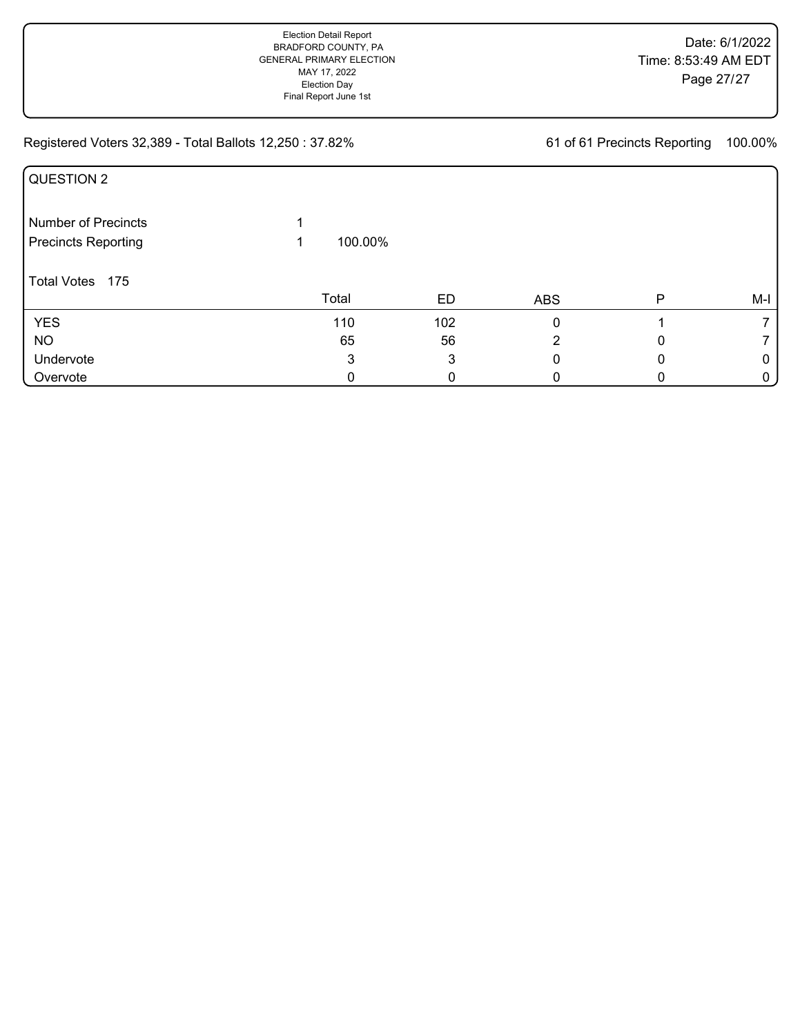| QUESTION 2                 |         |     |            |   |       |
|----------------------------|---------|-----|------------|---|-------|
| <b>Number of Precincts</b> |         |     |            |   |       |
| <b>Precincts Reporting</b> | 100.00% |     |            |   |       |
| Total Votes 175            | Total   | ED  | <b>ABS</b> | Р | $M-I$ |
| <b>YES</b>                 | 110     | 102 | 0          |   |       |
| <b>NO</b>                  | 65      | 56  | 2          |   |       |
| Undervote                  | 3       | 3   |            |   | 0     |
| Overvote                   | 0       | 0   |            |   | 0     |